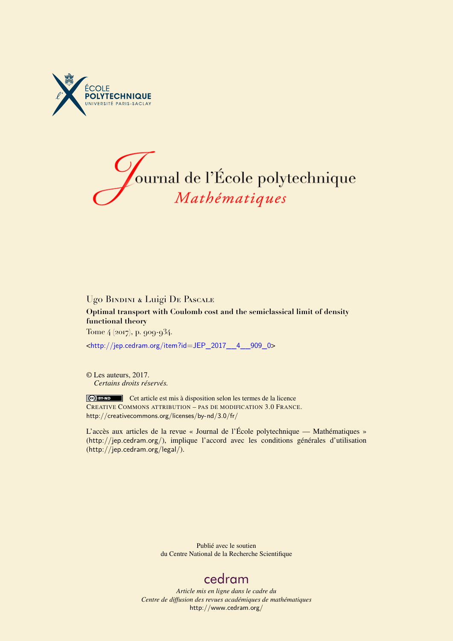



## Ugo Bindini & Luigi De Pascale **Optimal transport with Coulomb cost and the semiclassical limit of density functional theory** Tome 4 (2017), p. 909-934.

<[http://jep.cedram.org/item?id=JEP\\_2017\\_\\_4\\_\\_909\\_0](http://jep.cedram.org/item?id=JEP_2017__4__909_0)>

© Les auteurs, 2017. *Certains droits réservés.*

Cet article est mis à disposition selon les termes de la licence CREATIVE COMMONS ATTRIBUTION – PAS DE MODIFICATION 3.0 FRANCE. <http://creativecommons.org/licenses/by-nd/3.0/fr/>

L'accès aux articles de la revue « Journal de l'École polytechnique — Mathématiques » (<http://jep.cedram.org/>), implique l'accord avec les conditions générales d'utilisation (<http://jep.cedram.org/legal/>).

> Publié avec le soutien du Centre National de la Recherche Scientifique

## [cedram](http://www.cedram.org/)

*Article mis en ligne dans le cadre du Centre de diffusion des revues académiques de mathématiques* <http://www.cedram.org/>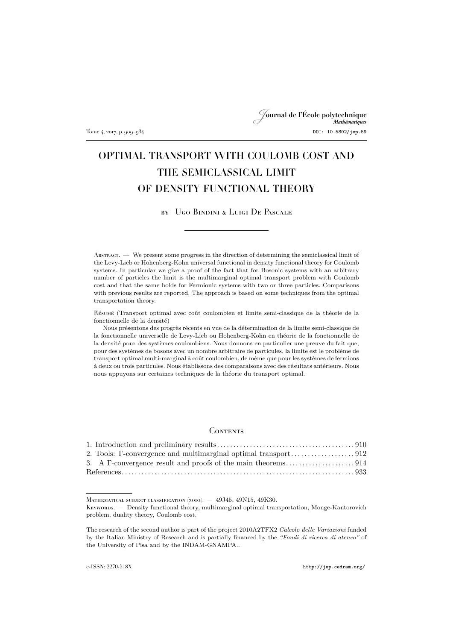## Journal de l'École polytechnique Tome 4, 2017, p. 909–934 DOI: 10.5802/jep.59

# OPTIMAL TRANSPORT WITH COULOMB COST AND THE SEMICLASSICAL LIMIT OF DENSITY FUNCTIONAL THEORY

## by Ugo Bindini & Luigi De Pascale

Abstract. — We present some progress in the direction of determining the semiclassical limit of the Levy-Lieb or Hohenberg-Kohn universal functional in density functional theory for Coulomb systems. In particular we give a proof of the fact that for Bosonic systems with an arbitrary number of particles the limit is the multimarginal optimal transport problem with Coulomb cost and that the same holds for Fermionic systems with two or three particles. Comparisons with previous results are reported. The approach is based on some techniques from the optimal transportation theory.

Résumé (Transport optimal avec coût coulombien et limite semi-classique de la théorie de la fonctionnelle de la densité)

Nous présentons des progrès récents en vue de la détermination de la limite semi-classique de la fonctionnelle universelle de Levy-Lieb ou Hohenberg-Kohn en théorie de la fonctionnelle de la densité pour des systèmes coulombiens. Nous donnons en particulier une preuve du fait que, pour des systèmes de bosons avec un nombre arbitraire de particules, la limite est le problème de transport optimal multi-marginal à coût coulombien, de même que pour les systèmes de fermions à deux ou trois particules. Nous établissons des comparaisons avec des résultats antérieurs. Nous nous appuyons sur certaines techniques de la théorie du transport optimal.

### **CONTENTS**

MATHEMATICAL SUBJECT CLASSIFICATION (2010). - 49J45, 49N15, 49K30.

KEYWORDS. — Density functional theory, multimarginal optimal transportation, Monge-Kantorovich problem, duality theory, Coulomb cost.

The research of the second author is part of the project 2010A2TFX2 *Calcolo delle Variazioni* funded by the Italian Ministry of Research and is partially financed by the *"Fondi di ricerca di ateneo"* of the University of Pisa and by the INDAM-GNAMPA..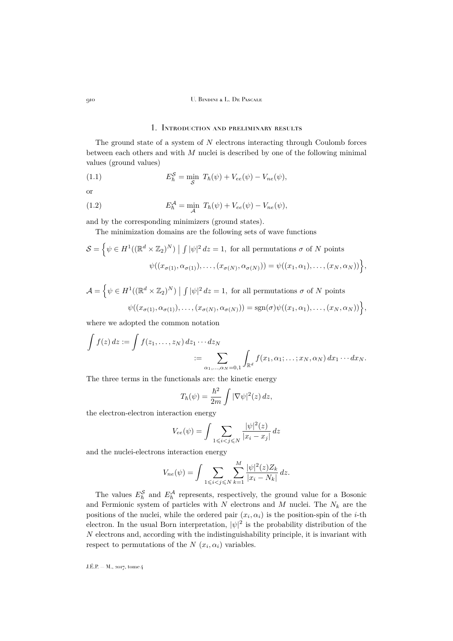## 1. Introduction and preliminary results

<span id="page-2-0"></span>The ground state of a system of  $N$  electrons interacting through Coulomb forces between each others and with M nuclei is described by one of the following minimal values (ground values)

(1.1) 
$$
E_{\hbar}^{S} = \min_{S} T_{\hbar}(\psi) + V_{ee}(\psi) - V_{ne}(\psi),
$$

or

(1.2) 
$$
E_h^{\mathcal{A}} = \min_{\mathcal{A}} T_h(\psi) + V_{ee}(\psi) - V_{ne}(\psi),
$$

and by the corresponding minimizers (ground states).

The minimization domains are the following sets of wave functions

$$
S = \left\{ \psi \in H^1((\mathbb{R}^d \times \mathbb{Z}_2)^N) \mid \int |\psi|^2 dz = 1, \text{ for all permutations } \sigma \text{ of } N \text{ points} \right\}
$$

$$
\psi((x_{\sigma(1)}, \alpha_{\sigma(1)}), \dots, (x_{\sigma(N)}, \alpha_{\sigma(N)})) = \psi((x_1, \alpha_1), \dots, (x_N, \alpha_N)) \right\},
$$

$$
\mathcal{A} = \left\{ \psi \in H^1((\mathbb{R}^d \times \mathbb{Z}_2)^N) \mid \int |\psi|^2 dz = 1, \text{ for all permutations } \sigma \text{ of } N \text{ points} \right\}
$$

$$
\psi((x_{\sigma(1)}, \alpha_{\sigma(1)}), \dots, (x_{\sigma(N)}, \alpha_{\sigma(N)})) = \text{sgn}(\sigma)\psi((x_1, \alpha_1), \dots, (x_N, \alpha_N)) \right\},
$$

where we adopted the common notation

$$
\int f(z) dz := \int f(z_1, \dots, z_N) dz_1 \cdots dz_N
$$
  
 := 
$$
\sum_{\alpha_1, \dots, \alpha_N = 0, 1} \int_{\mathbb{R}^d} f(x_1, \alpha_1; \dots; x_N, \alpha_N) dx_1 \cdots dx_N.
$$

The three terms in the functionals are: the kinetic energy

$$
T_{\hbar}(\psi) = \frac{\hbar^2}{2m} \int |\nabla \psi|^2(z) dz,
$$

the electron-electron interaction energy

$$
V_{ee}(\psi) = \int \sum_{1 \leqslant i < j \leqslant N} \frac{|\psi|^2(z)}{|x_i - x_j|} \, dz
$$

and the nuclei-electrons interaction energy

$$
V_{ne}(\psi) = \int \sum_{1 \leq i < j \leq N} \sum_{k=1}^{M} \frac{|\psi|^2(z) Z_k}{|x_i - N_k|} \, dz.
$$

The values  $E_{\hbar}^{\mathcal{S}}$  and  $E_{\hbar}^{\mathcal{A}}$  represents, respectively, the ground value for a Bosonic and Fermionic system of particles with N electrons and M nuclei. The  $N_k$  are the positions of the nuclei, while the ordered pair  $(x_i, \alpha_i)$  is the position-spin of the *i*-th electron. In the usual Born interpretation,  $|\psi|^2$  is the probability distribution of the N electrons and, according with the indistinguishability principle, it is invariant with respect to permutations of the  $N(x_i, \alpha_i)$  variables.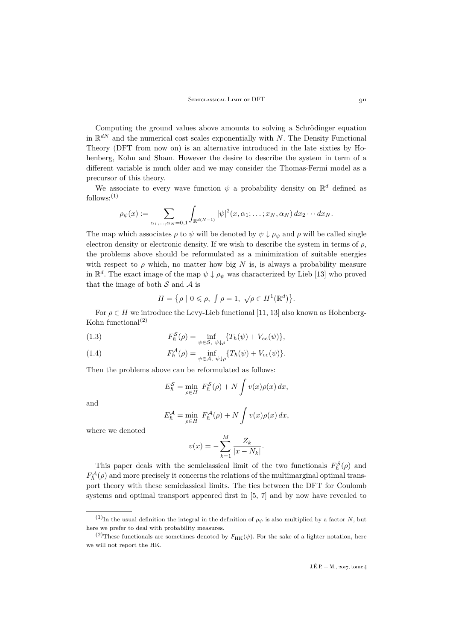Computing the ground values above amounts to solving a Schrödinger equation in  $\mathbb{R}^{dN}$  and the numerical cost scales exponentially with N. The Density Functional Theory (DFT from now on) is an alternative introduced in the late sixties by Hohenberg, Kohn and Sham. However the desire to describe the system in term of a different variable is much older and we may consider the Thomas-Fermi model as a precursor of this theory.

We associate to every wave function  $\psi$  a probability density on  $\mathbb{R}^d$  defined as follows: $(1)$ 

$$
\rho_{\psi}(x):=\sum_{\alpha_1,\ldots,\alpha_N=0,1}\int_{\mathbb{R}^{d(N-1)}}|\psi|^2(x,\alpha_1;\ldots;x_N,\alpha_N)\,dx_2\cdots dx_N.
$$

The map which associates  $\rho$  to  $\psi$  will be denoted by  $\psi \downarrow \rho_{\psi}$  and  $\rho$  will be called single electron density or electronic density. If we wish to describe the system in terms of  $\rho$ , the problems above should be reformulated as a minimization of suitable energies with respect to  $\rho$  which, no matter how big N is, is always a probability measure in  $\mathbb{R}^d$ . The exact image of the map  $\psi \downarrow \rho_{\psi}$  was characterized by Lieb [\[13\]](#page-26-0) who proved that the image of both  $S$  and  $A$  is

$$
H = \{ \rho \mid 0 \leqslant \rho, \int \rho = 1, \sqrt{\rho} \in H^1(\mathbb{R}^d) \}.
$$

For  $\rho \in H$  we introduce the Levy-Lieb functional [\[11,](#page-26-1) [13\]](#page-26-0) also known as Hohenberg-Kohn functional<sup>(2)</sup>

(1.3) 
$$
F_{\hbar}^{S}(\rho) = \inf_{\psi \in S, \ \psi \downarrow \rho} \{ T_{\hbar}(\psi) + V_{ee}(\psi) \},
$$

(1.4) 
$$
F_h^{\mathcal{A}}(\rho) = \inf_{\psi \in \mathcal{A}, \ \psi \downarrow \rho} \{ T_h(\psi) + V_{ee}(\psi) \}.
$$

Then the problems above can be reformulated as follows:

$$
E_{\hbar}^{S} = \min_{\rho \in H} F_{\hbar}^{S}(\rho) + N \int v(x) \rho(x) dx,
$$

and

$$
E_h^{\mathcal{A}} = \min_{\rho \in H} F_h^{\mathcal{A}}(\rho) + N \int v(x) \rho(x) \, dx,
$$

where we denoted

$$
v(x) = -\sum_{k=1}^{M} \frac{Z_k}{|x - N_k|}.
$$

This paper deals with the semiclassical limit of the two functionals  $F_{\hbar}^{\mathcal{S}}(\rho)$  and  $F_h^{\mathcal{A}}(\rho)$  and more precisely it concerns the relations of the multimarginal optimal transport theory with these semiclassical limits. The ties between the DFT for Coulomb systems and optimal transport appeared first in [\[5,](#page-25-1) [7\]](#page-25-2) and by now have revealed to

<sup>(1)</sup>In the usual definition the integral in the definition of  $\rho_{\psi}$  is also multiplied by a factor N, but here we prefer to deal with probability measures.

<sup>(2)</sup>These functionals are sometimes denoted by  $F_{HK}(\psi)$ . For the sake of a lighter notation, here we will not report the HK.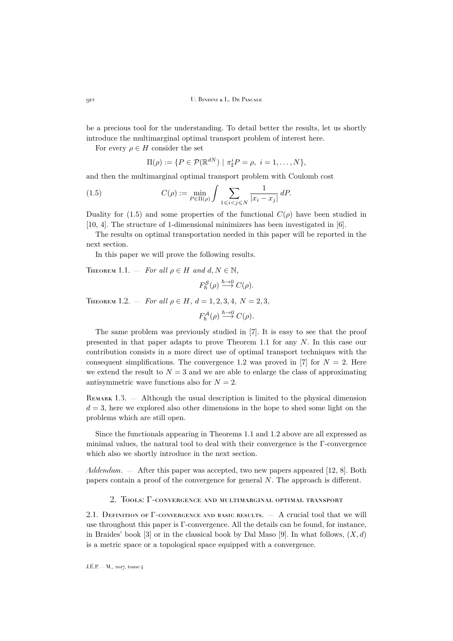be a precious tool for the understanding. To detail better the results, let us shortly introduce the multimarginal optimal transport problem of interest here.

For every  $\rho \in H$  consider the set

<span id="page-4-1"></span>
$$
\Pi(\rho) := \{ P \in \mathcal{P}(\mathbb{R}^{dN}) \mid \pi_{\sharp}^{i} P = \rho, \ i = 1, \dots, N \},\
$$

and then the multimarginal optimal transport problem with Coulomb cost

(1.5) 
$$
C(\rho) := \min_{P \in \Pi(\rho)} \int \sum_{1 \leq i < j \leq N} \frac{1}{|x_i - x_j|} \, dP.
$$

Duality for [\(1.5\)](#page-4-1) and some properties of the functional  $C(\rho)$  have been studied in [\[10,](#page-26-2) [4\]](#page-25-3). The structure of 1-dimensional minimizers has been investigated in [\[6\]](#page-25-4).

The results on optimal transportation needed in this paper will be reported in the next section.

In this paper we will prove the following results.

<span id="page-4-2"></span>THEOREM 1.1. — *For all*  $\rho \in H$  *and*  $d, N \in \mathbb{N}$ ,

$$
F_{\hbar}^{\mathcal{S}}(\rho) \stackrel{\hbar \to 0}{\longrightarrow} C(\rho).
$$

<span id="page-4-3"></span>THEOREM 1.2. – *For all*  $\rho \in H$ ,  $d = 1, 2, 3, 4$ ,  $N = 2, 3$ ,

 $F_{\hbar}^{\mathcal{A}}(\rho) \stackrel{\hbar \to 0}{\longrightarrow} C(\rho).$ 

The same problem was previously studied in [\[7\]](#page-25-2). It is easy to see that the proof presented in that paper adapts to prove Theorem [1.1](#page-4-2) for any N. In this case our contribution consists in a more direct use of optimal transport techniques with the consequent simplifications. The convergence [1.2](#page-4-3) was proved in [\[7\]](#page-25-2) for  $N = 2$ . Here we extend the result to  $N = 3$  and we are able to enlarge the class of approximating antisymmetric wave functions also for  $N = 2$ .

REMARK 1.3. — Although the usual description is limited to the physical dimension  $d = 3$ , here we explored also other dimensions in the hope to shed some light on the problems which are still open.

Since the functionals appearing in Theorems [1.1](#page-4-2) and [1.2](#page-4-3) above are all expressed as minimal values, the natural tool to deal with their convergence is the Γ-convergence which also we shortly introduce in the next section.

*Addendum*. — After this paper was accepted, two new papers appeared [\[12,](#page-26-3) [8\]](#page-25-5). Both papers contain a proof of the convergence for general N. The approach is different.

#### 2. Tools: Γ-convergence and multimarginal optimal transport

<span id="page-4-0"></span>2.1. DEFINITION OF  $\Gamma$ -CONVERGENCE AND BASIC RESULTS.  $-$  A crucial tool that we will use throughout this paper is Γ-convergence. All the details can be found, for instance, in Braides' book [\[3\]](#page-25-6) or in the classical book by Dal Maso [\[9\]](#page-25-7). In what follows,  $(X, d)$ is a metric space or a topological space equipped with a convergence.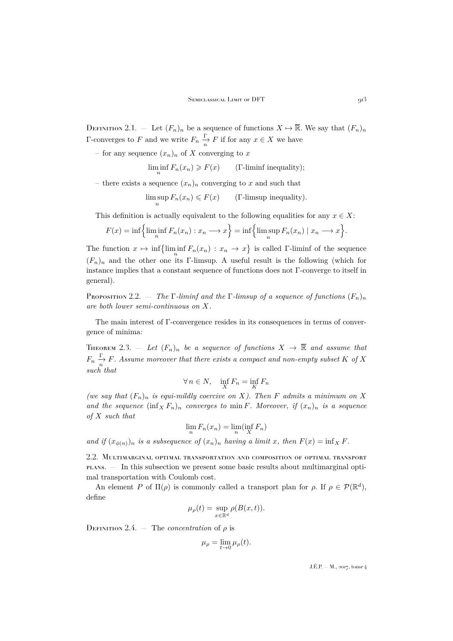DEFINITION 2.1. — Let  $(F_n)_n$  be a sequence of functions  $X \mapsto \overline{\mathbb{R}}$ . We say that  $(F_n)_n$ Γ-converges to F and we write  $F_n \xrightarrow[n]{\Gamma} F$  if for any  $x \in X$  we have

– for any sequence  $(x_n)_n$  of X converging to x

 $\liminf_{n} F_n(x_n) \geq F(x)$  (Γ-liminf inequality);

– there exists a sequence  $(x_n)_n$  converging to x and such that

$$
\limsup_n F_n(x_n) \leq F(x) \qquad \text{(T-limsup inequality)}.
$$

This definition is actually equivalent to the following equalities for any  $x \in X$ :

$$
F(x) = \inf \left\{ \liminf_{n} F_n(x_n) : x_n \longrightarrow x \right\} = \inf \left\{ \limsup_{n} F_n(x_n) \mid x_n \longrightarrow x \right\}.
$$

The function  $x \mapsto \inf \{\liminf_{n} F_n(x_n) : x_n \to x\}$  is called Γ-liminf of the sequence  $(F_n)_n$  and the other one its Γ-limsup. A useful result is the following (which for instance implies that a constant sequence of functions does not Γ-converge to itself in general).

Proposition 2.2.  $-$  *The* Γ*-liminf and the* Γ*-limsup of a sequence of functions*  $(F_n)_n$ *are both lower semi-continuous on* X*.*

The main interest of Γ-convergence resides in its consequences in terms of convergence of minima:

<span id="page-5-0"></span>THEOREM 2.3. – Let  $(F_n)_n$  be a sequence of functions  $X \to \overline{\mathbb{R}}$  and assume that  $F_n \xrightarrow[n]{\Gamma} F$ . Assume moreover that there exists a compact and non-empty subset K of X *such that*

$$
\forall n \in N, \quad \inf_{X} F_n = \inf_{K} F_n
$$

*(we say that*  $(F_n)_n$  *is equi-mildly coercive on* X*). Then* F *admits a minimum on* X and the sequence  $(\inf_X F_n)_n$  *converges to* min F. Moreover, if  $(x_n)_n$  *is a sequence of* X *such that*

$$
\lim_{n} F_n(x_n) = \lim_{n} (\inf_{X} F_n)
$$

*and if*  $(x_{\phi(n)})_n$  *is a subsequence of*  $(x_n)_n$  *having a limit x, then*  $F(x) = \inf_X F$ .

2.2. Multimarginal optimal transportation and composition of optimal transport plans. — In this subsection we present some basic results about multimarginal optimal transportation with Coulomb cost.

An element P of  $\Pi(\rho)$  is commonly called a transport plan for  $\rho$ . If  $\rho \in \mathcal{P}(\mathbb{R}^d)$ , define

$$
\mu_{\rho}(t) = \sup_{x \in \mathbb{R}^d} \rho(B(x,t)).
$$

DEFINITION 2.4. — The *concentration* of  $\rho$  is

$$
\mu_{\rho} = \lim_{t \to 0} \mu_{\rho}(t).
$$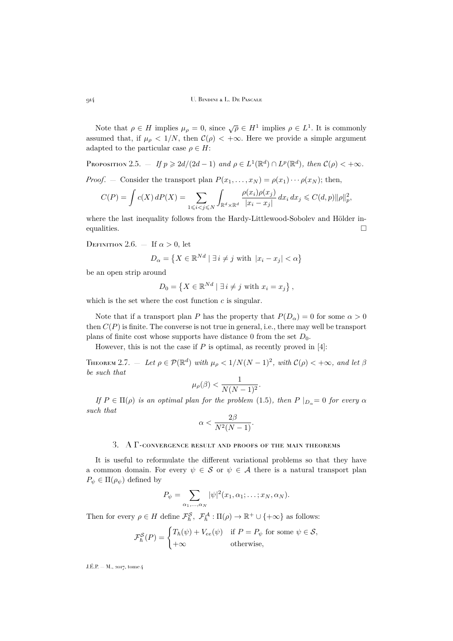Note that  $\rho \in H$  implies  $\mu_{\rho} = 0$ , since  $\sqrt{\rho} \in H^1$  implies  $\rho \in L^1$ . It is commonly assumed that, if  $\mu_{\rho} < 1/N$ , then  $\mathcal{C}(\rho) < +\infty$ . Here we provide a simple argument adapted to the particular case  $\rho \in H$ :

<span id="page-6-2"></span>PROPOSITION 2.5.  $-If p \geqslant 2d/(2d-1)$  and  $\rho \in L^1(\mathbb{R}^d) \cap L^p(\mathbb{R}^d)$ , then  $\mathcal{C}(\rho) < +\infty$ .

*Proof.* — Consider the transport plan  $P(x_1, \ldots, x_N) = \rho(x_1) \cdots \rho(x_N)$ ; then,

$$
C(P) = \int c(X) dP(X) = \sum_{1 \leq i < j \leq N} \int_{\mathbb{R}^d \times \mathbb{R}^d} \frac{\rho(x_i)\rho(x_j)}{|x_i - x_j|} dx_i \, dx_j \leq C(d, p) \|\rho\|_p^2,
$$

where the last inequality follows from the Hardy-Littlewood-Sobolev and Hölder inequalities.

DEFINITION 2.6. — If  $\alpha > 0$ , let

$$
D_{\alpha} = \left\{ X \in \mathbb{R}^{Nd} \mid \exists i \neq j \text{ with } |x_i - x_j| < \alpha \right\}
$$

be an open strip around

$$
D_0 = \left\{ X \in \mathbb{R}^{Nd} \mid \exists i \neq j \text{ with } x_i = x_j \right\},\
$$

which is the set where the cost function  $c$  is singular.

Note that if a transport plan P has the property that  $P(D_{\alpha}) = 0$  for some  $\alpha > 0$ then  $C(P)$  is finite. The converse is not true in general, i.e., there may well be transport plans of finite cost whose supports have distance 0 from the set  $D_0$ .

However, this is not the case if  $P$  is optimal, as recently proved in [\[4\]](#page-25-3):

<span id="page-6-1"></span>THEOREM 2.7. – Let  $\rho \in \mathcal{P}(\mathbb{R}^d)$  with  $\mu_\rho < 1/N(N-1)^2$ , with  $\mathcal{C}(\rho) < +\infty$ , and let  $\beta$ *be such that*

$$
\mu_{\rho}(\beta) < \frac{1}{N(N-1)^2}.
$$

*If*  $P \in \Pi(\rho)$  *is an optimal plan for the problem* [\(1.5\)](#page-4-1)*, then*  $P \mid_{D_{\alpha}} = 0$  *for every*  $\alpha$ *such that*

$$
\alpha < \frac{2\beta}{N^2(N-1)}.
$$

## 3. A  $\Gamma$ -convergence result and proofs of the main theorems

<span id="page-6-0"></span>It is useful to reformulate the different variational problems so that they have a common domain. For every  $\psi \in \mathcal{S}$  or  $\psi \in \mathcal{A}$  there is a natural transport plan  $P_{\psi} \in \Pi(\rho_{\psi})$  defined by

$$
P_{\psi} = \sum_{\alpha_1,\ldots,\alpha_N} |\psi|^2(x_1,\alpha_1;\ldots;x_N,\alpha_N).
$$

Then for every  $\rho \in H$  define  $\mathcal{F}_{\hbar}^{\mathcal{S}}$ ,  $\mathcal{F}_{\hbar}^{\mathcal{A}} : \Pi(\rho) \to \mathbb{R}^+ \cup \{+\infty\}$  as follows:

$$
\mathcal{F}_{\hbar}^{\mathcal{S}}(P) = \begin{cases} T_{\hbar}(\psi) + V_{ee}(\psi) & \text{if } P = P_{\psi} \text{ for some } \psi \in \mathcal{S}, \\ +\infty & \text{otherwise,} \end{cases}
$$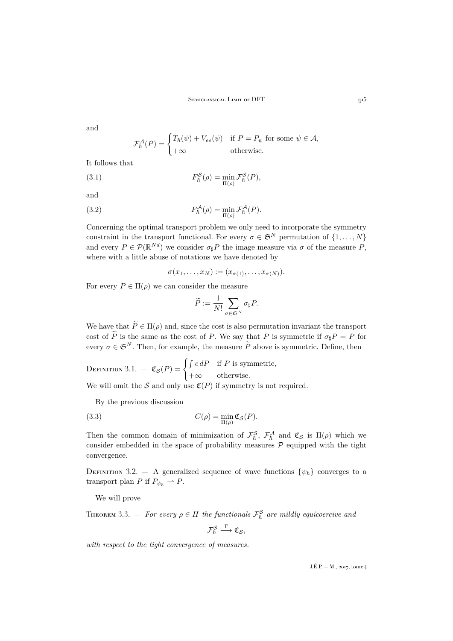and

<span id="page-7-1"></span>
$$
\mathcal{F}_{\hbar}^{\mathcal{A}}(P) = \begin{cases} T_{\hbar}(\psi) + V_{ee}(\psi) & \text{if } P = P_{\psi} \text{ for some } \psi \in \mathcal{A}, \\ +\infty & \text{otherwise.} \end{cases}
$$

It follows that

(3.1) 
$$
F_{\hbar}^{\mathcal{S}}(\rho) = \min_{\Pi(\rho)} \mathcal{F}_{\hbar}^{\mathcal{S}}(P),
$$

and

(3.2) 
$$
F_h^{\mathcal{A}}(\rho) = \min_{\Pi(\rho)} \mathcal{F}_h^{\mathcal{A}}(P).
$$

Concerning the optimal transport problem we only need to incorporate the symmetry constraint in the transport functional. For every  $\sigma \in \mathfrak{S}^N$  permutation of  $\{1, \ldots, N\}$ and every  $P \in \mathcal{P}(\mathbb{R}^{Nd})$  we consider  $\sigma_{\sharp}P$  the image measure via  $\sigma$  of the measure P, where with a little abuse of notations we have denoted by

<span id="page-7-3"></span>
$$
\sigma(x_1,\ldots,x_N):=(x_{\sigma(1)},\ldots,x_{\sigma(N)}).
$$

For every  $P \in \Pi(\rho)$  we can consider the measure

$$
\widetilde{P} := \frac{1}{N!} \sum_{\sigma \in \mathfrak{S}^N} \sigma_{\sharp} P.
$$

We have that  $\widetilde{P} \in \Pi(\rho)$  and, since the cost is also permutation invariant the transport cost of  $\tilde{P}$  is the same as the cost of P. We say that P is symmetric if  $\sigma_{\sharp}P = P$  for every  $\sigma \in \mathfrak{S}^N$ . Then, for example, the measure  $\widetilde{P}$  above is symmetric. Define, then

DEFINITION 3.1.  $\mathfrak{C}_{\mathcal{S}}(P) = \begin{cases} \int c \, dP & \text{if } P \text{ is symmetric,} \\ 0 & \text{otherwise.} \end{cases}$  $+\infty$  otherwise.

We will omit the S and only use  $\mathfrak{C}(P)$  if symmetry is not required.

<span id="page-7-2"></span>By the previous discussion

(3.3) 
$$
C(\rho) = \min_{\Pi(\rho)} \mathfrak{C}_{\mathcal{S}}(P).
$$

Then the common domain of minimization of  $\mathcal{F}_{\hbar}^{\mathcal{S}}$ ,  $\mathcal{F}_{\hbar}^{\mathcal{A}}$  and  $\mathfrak{C}_{\mathcal{S}}$  is  $\Pi(\rho)$  which we consider embedded in the space of probability measures  $P$  equipped with the tight convergence.

DEFINITION 3.2. — A generalized sequence of wave functions  $\{\psi_{\hbar}\}\$  converges to a transport plan P if  $P_{\psi_h} \rightharpoonup P$ .

We will prove

<span id="page-7-0"></span>THEOREM 3.3.  $-$  *For every*  $\rho \in H$  the functionals  $\mathcal{F}^{\mathcal{S}}_{\hbar}$  are mildly equicoercive and

 $\mathcal{F}_{\hbar}^{\mathcal{S}} \stackrel{\Gamma}{\longrightarrow} \mathfrak{C}_{\mathcal{S}},$ 

*with respect to the tight convergence of measures.*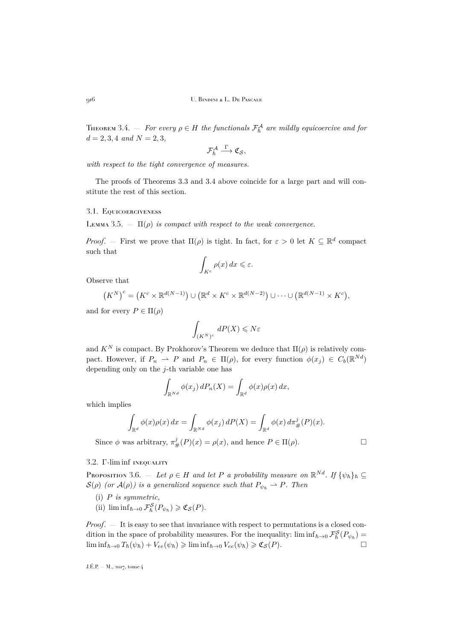<span id="page-8-0"></span>THEOREM 3.4.  $-$  *For every*  $\rho \in H$  the functionals  $\mathcal{F}^{\mathcal{A}}_{\hbar}$  are mildly equicoercive and for  $d = 2, 3, 4$  *and*  $N = 2, 3$ *,* 

$$
\mathcal{F}^{\mathcal{A}}_{\hbar} \stackrel{\Gamma}{\longrightarrow} \mathfrak{C}_{\mathcal{S}},
$$

*with respect to the tight convergence of measures.*

The proofs of Theorems [3.3](#page-7-0) and [3.4](#page-8-0) above coincide for a large part and will constitute the rest of this section.

## <span id="page-8-1"></span>3.1. Equicoerciveness

LEMMA 3.5.  $\Box$   $\Pi(\rho)$  *is compact with respect to the weak convergence.* 

*Proof.* – First we prove that  $\Pi(\rho)$  is tight. In fact, for  $\varepsilon > 0$  let  $K \subseteq \mathbb{R}^d$  compact such that

$$
\int_{K^c} \rho(x) \, dx \leqslant \varepsilon.
$$

Observe that

$$
(K^N)^c = (K^c \times \mathbb{R}^{d(N-1)}) \cup (\mathbb{R}^d \times K^c \times \mathbb{R}^{d(N-2)}) \cup \cdots \cup (\mathbb{R}^{d(N-1)} \times K^c),
$$

and for every  $P \in \Pi(\rho)$ 

$$
\int_{(K^N)^c} \, dP(X) \leqslant N \varepsilon
$$

and  $K^N$  is compact. By Prokhorov's Theorem we deduce that  $\Pi(\rho)$  is relatively compact. However, if  $P_n \rightharpoonup P$  and  $P_n \in \Pi(\rho)$ , for every function  $\phi(x_j) \in C_b(\mathbb{R}^{Nd})$ depending only on the j-th variable one has

$$
\int_{\mathbb{R}^{Nd}} \phi(x_j) dP_n(X) = \int_{\mathbb{R}^d} \phi(x) \rho(x) dx,
$$

which implies

$$
\int_{\mathbb{R}^d} \phi(x)\rho(x) dx = \int_{\mathbb{R}^{Nd}} \phi(x_j) dP(X) = \int_{\mathbb{R}^d} \phi(x) d\pi_{\#}^j(P)(x).
$$

Since  $\phi$  was arbitrary,  $\pi_{\#}^{j}(P)(x) = \rho(x)$ , and hence  $P \in \Pi(\rho)$ .

### <span id="page-8-2"></span>3.2. Γ-lim inf inequality

PROPOSITION 3.6.  $-$  *Let*  $\rho \in H$  *and let* P *a probability measure on*  $\mathbb{R}^{Nd}$ *. If*  $\{\psi_{\hbar}\}_\hbar \subseteq$  $S(\rho)$  *(or*  $A(\rho)$ *) is a generalized sequence such that*  $P_{\psi_h} \rightharpoonup P$ *. Then* 

- (i) P *is symmetric,*
- (ii)  $\liminf_{\hbar \to 0} \mathcal{F}_{\hbar}^{\mathcal{S}}(P_{\psi_{\hbar}}) \geq \mathfrak{C}_{\mathcal{S}}(P).$

*Proof.* — It is easy to see that invariance with respect to permutations is a closed condition in the space of probability measures. For the inequality:  $\liminf_{\hbar\to 0} \mathcal{F}_{\hbar}^{\mathcal{S}}(P_{\psi_{\hbar}})$  $\liminf_{\hbar\to 0} T_{\hbar}(\psi_{\hbar}) + V_{ee}(\psi_{\hbar}) \geqslant \liminf_{\hbar\to 0} V_{ee}(\psi_{\hbar}) \geqslant \mathfrak{C}_{\mathcal{S}}(P).$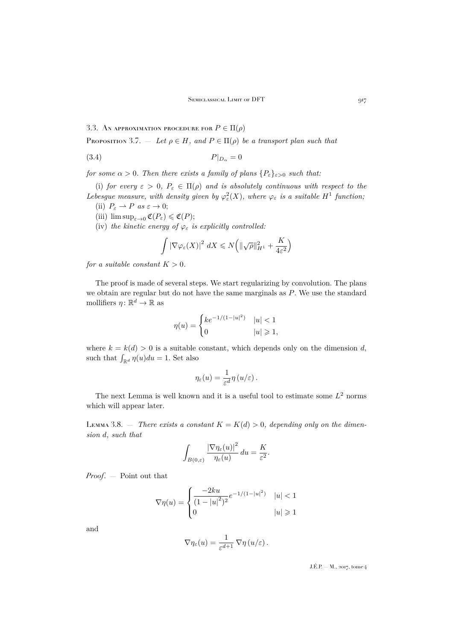3.3. AN APPROXIMATION PROCEDURE FOR  $P \in \Pi(\rho)$ 

<span id="page-9-0"></span>PROPOSITION 3.7. — Let  $\rho \in H$ , and  $P \in \Pi(\rho)$  be a transport plan such that

$$
(3.4) \t\t P|_{D_{\alpha}} = 0
$$

*for some*  $\alpha > 0$ *. Then there exists a family of plans*  $\{P_{\varepsilon}\}_{{\varepsilon}>0}$  *such that:* 

(i) *for every*  $\varepsilon > 0$ ,  $P_{\varepsilon} \in \Pi(\rho)$  *and is absolutely continuous with respect to the* Lebesgue measure, with density given by  $\varphi_{\varepsilon}^2(X)$ , where  $\varphi_{\varepsilon}$  is a suitable  $H^1$  function;

- (ii)  $P_{\varepsilon} \rightharpoonup P$  *as*  $\varepsilon \to 0$ ;
- (iii)  $\limsup_{\varepsilon \to 0} \mathfrak{C}(P_{\varepsilon}) \leq \mathfrak{C}(P);$
- (iv) *the kinetic energy of*  $\varphi_{\varepsilon}$  *is explicitly controlled:*

<span id="page-9-1"></span>
$$
\int |\nabla \varphi_{\varepsilon}(X)|^2 dX \leq N\left(\|\sqrt{\rho}\|_{H^1}^2 + \frac{K}{4\varepsilon^2}\right)
$$

*for a suitable constant*  $K > 0$ *.* 

The proof is made of several steps. We start regularizing by convolution. The plans we obtain are regular but do not have the same marginals as P. We use the standard mollifiers  $\eta \colon \mathbb{R}^d \to \mathbb{R}$  as

$$
\eta(u) = \begin{cases} ke^{-1/(1-|u|^2)} & |u| < 1\\ 0 & |u| \ge 1, \end{cases}
$$

where  $k = k(d) > 0$  is a suitable constant, which depends only on the dimension d, such that  $\int_{\mathbb{R}^d} \eta(u) du = 1$ . Set also

$$
\eta_{\varepsilon}(u) = \frac{1}{\varepsilon^{d}} \eta\left(u/\varepsilon\right).
$$

The next Lemma is well known and it is a useful tool to estimate some  $L^2$  norms which will appear later.

LEMMA 3.8. – *There exists a constant*  $K = K(d) > 0$ , depending only on the dimen*sion* d*, such that*

$$
\int_{B(0,\varepsilon)} \frac{|\nabla \eta_{\varepsilon}(u)|^2}{\eta_{\varepsilon}(u)} du = \frac{K}{\varepsilon^2}.
$$

*Proof*. — Point out that

$$
\nabla \eta(u) = \begin{cases}\n\frac{-2ku}{(1 - |u|^2)^2} e^{-1/(1 - |u|^2)} & |u| < 1 \\
0 & |u| \ge 1\n\end{cases}
$$

and

$$
\nabla \eta_{\varepsilon}(u) = \frac{1}{\varepsilon^{d+1}} \, \nabla \eta \left(u/\varepsilon\right).
$$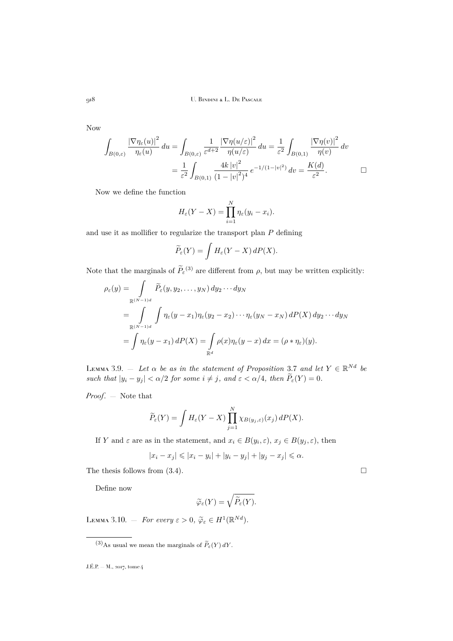Now

$$
\int_{B(0,\varepsilon)} \frac{|\nabla \eta_{\varepsilon}(u)|^2}{\eta_{\varepsilon}(u)} du = \int_{B(0,\varepsilon)} \frac{1}{\varepsilon^{d+2}} \frac{|\nabla \eta(u/\varepsilon)|^2}{\eta(u/\varepsilon)} du = \frac{1}{\varepsilon^2} \int_{B(0,1)} \frac{|\nabla \eta(v)|^2}{\eta(v)} dv
$$

$$
= \frac{1}{\varepsilon^2} \int_{B(0,1)} \frac{4k |v|^2}{(1-|v|^2)^4} e^{-1/(1-|v|^2)} dv = \frac{K(d)}{\varepsilon^2}.
$$

Now we define the function

$$
H_{\varepsilon}(Y - X) = \prod_{i=1}^{N} \eta_{\varepsilon}(y_i - x_i).
$$

and use it as mollifier to regularize the transport plan  $P$  defining

$$
\widetilde{P}_{\varepsilon}(Y) = \int H_{\varepsilon}(Y - X) dP(X).
$$

Note that the marginals of  $\tilde{P}_{\varepsilon}^{(3)}$  are different from  $\rho$ , but may be written explicitly:

$$
\rho_{\varepsilon}(y) = \int_{\mathbb{R}^{(N-1)d}} \widetilde{P}_{\varepsilon}(y, y_2, \dots, y_N) dy_2 \cdots dy_N
$$
  
\n
$$
= \int_{\mathbb{R}^{(N-1)d}} \int \eta_{\varepsilon}(y - x_1) \eta_{\varepsilon}(y_2 - x_2) \cdots \eta_{\varepsilon}(y_N - x_N) dP(X) dy_2 \cdots dy_N
$$
  
\n
$$
= \int \eta_{\varepsilon}(y - x_1) dP(X) = \int_{\mathbb{R}^d} \rho(x) \eta_{\varepsilon}(y - x) dx = (\rho * \eta_{\varepsilon})(y).
$$

<span id="page-10-0"></span>LEMMA 3.9.  $-$  *Let*  $\alpha$  *be as in the statement of Proposition* [3.7](#page-9-0) *and let*  $Y \in \mathbb{R}^{Nd}$  *be such that*  $|y_i - y_j| < \alpha/2$  *for some*  $i \neq j$ *, and*  $\varepsilon < \alpha/4$ *, then*  $\widetilde{P}_\varepsilon(Y) = 0$ *.* 

*Proof*. — Note that

$$
\widetilde{P}_{\varepsilon}(Y) = \int H_{\varepsilon}(Y - X) \prod_{j=1}^{N} \chi_{B(y_j, \varepsilon)}(x_j) dP(X).
$$

If Y and  $\varepsilon$  are as in the statement, and  $x_i \in B(y_i, \varepsilon), x_j \in B(y_j, \varepsilon)$ , then

$$
|x_i - x_j| \leq |x_i - y_i| + |y_i - y_j| + |y_j - x_j| \leq \alpha.
$$

The thesis follows from  $(3.4)$ .

Define now

$$
\widetilde{\varphi}_{\varepsilon}(Y)=\sqrt{\widetilde{P}_{\varepsilon}(Y)}.
$$

LEMMA 3.10. – *For every*  $\varepsilon > 0$ ,  $\widetilde{\varphi}_{\varepsilon} \in H^1(\mathbb{R}^{Nd})$ .

<sup>(3)</sup>As usual we mean the marginals of  $\widetilde{P}_{\varepsilon}(Y) dY$ .

J.É.P. — M., 2017, tome 4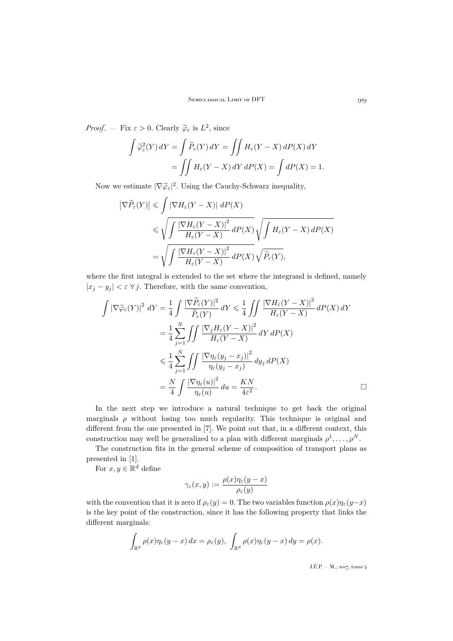*Proof.* – Fix  $\varepsilon > 0$ . Clearly  $\tilde{\varphi}_{\varepsilon}$  is  $L^2$ , since

$$
\int \widetilde{\varphi}_{\varepsilon}^{2}(Y) dY = \int \widetilde{P}_{\varepsilon}(Y) dY = \iint H_{\varepsilon}(Y - X) dP(X) dY
$$

$$
= \iint H_{\varepsilon}(Y - X) dY dP(X) = \int dP(X) = 1.
$$

Now we estimate  $|\nabla \widetilde{\varphi}_{\varepsilon}|^2$ . Using the Cauchy-Schwarz inequality,

$$
\begin{aligned} \left| \nabla \widetilde{P}_{\varepsilon}(Y) \right| &\leqslant \int \left| \nabla H_{\varepsilon}(Y - X) \right| \, dP(X) \\ &\leqslant \sqrt{\int \frac{\left| \nabla H_{\varepsilon}(Y - X) \right|^{2}}{H_{\varepsilon}(Y - X)} \, dP(X)} \sqrt{\int H_{\varepsilon}(Y - X) \, dP(X)} \\ &= \sqrt{\int \frac{\left| \nabla H_{\varepsilon}(Y - X) \right|^{2}}{H_{\varepsilon}(Y - X)} \, dP(X)} \sqrt{\widetilde{P}_{\varepsilon}(Y)}, \end{aligned}
$$

where the first integral is extended to the set where the integrand is defined, namely  $|x_j - y_j| < \varepsilon \ \forall j$ . Therefore, with the same convention,

$$
\int |\nabla \widetilde{\varphi}_{\varepsilon}(Y)|^2 dY = \frac{1}{4} \int \frac{|\nabla \widetilde{P}_{\varepsilon}(Y)|^2}{\widetilde{P}_{\varepsilon}(Y)} dY \le \frac{1}{4} \int \int \frac{|\nabla H_{\varepsilon}(Y - X)|^2}{H_{\varepsilon}(Y - X)} dP(X) dY
$$
  
\n
$$
= \frac{1}{4} \sum_{j=1}^N \int \int \frac{|\nabla_j H_{\varepsilon}(Y - X)|^2}{H_{\varepsilon}(Y - X)} dY dP(X)
$$
  
\n
$$
\le \frac{1}{4} \sum_{j=1}^N \int \int \frac{|\nabla \eta_{\varepsilon}(y_j - x_j)|^2}{\eta_{\varepsilon}(y_j - x_j)} dy_j dP(X)
$$
  
\n
$$
= \frac{N}{4} \int \frac{|\nabla \eta_{\varepsilon}(u)|^2}{\eta_{\varepsilon}(u)} du = \frac{KN}{4\varepsilon^2}.
$$

In the next step we introduce a natural technique to get back the original marginals  $\rho$  without losing too much regularity. This technique is original and different from the one presented in [\[7\]](#page-25-2). We point out that, in a different context, this construction may well be generalized to a plan with different marginals  $\rho^1, \ldots, \rho^N$ .

The construction fits in the general scheme of composition of transport plans as presented in [\[1\]](#page-25-8).

For  $x, y \in \mathbb{R}^d$  define

$$
\gamma_\varepsilon(x,y):=\frac{\rho(x)\eta_\varepsilon(y-x)}{\rho_\varepsilon(y)}
$$

with the convention that it is zero if  $\rho_{\varepsilon}(y) = 0$ . The two variables function  $\rho(x)\eta_{\varepsilon}(y-x)$ is the key point of the construction, since it has the following property that links the different marginals:

$$
\int_{\mathbb{R}^d} \rho(x) \eta_{\varepsilon}(y-x) dx = \rho_{\varepsilon}(y), \ \int_{\mathbb{R}^d} \rho(x) \eta_{\varepsilon}(y-x) dy = \rho(x).
$$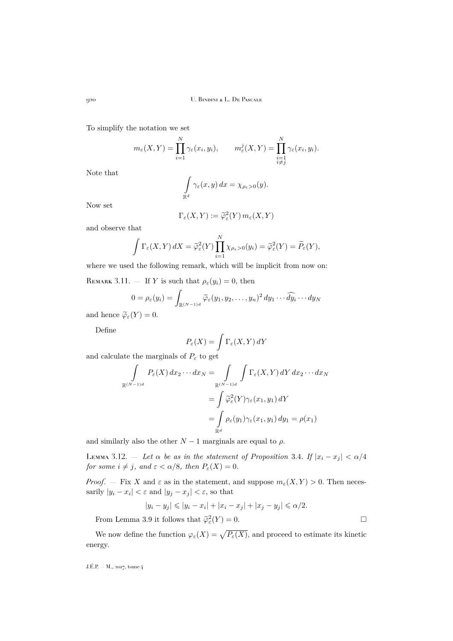To simplify the notation we set

$$
m_{\varepsilon}(X,Y) = \prod_{i=1}^{N} \gamma_{\varepsilon}(x_i, y_i), \qquad m_{\varepsilon}^{j}(X,Y) = \prod_{\substack{i=1 \\ i \neq j}}^{N} \gamma_{\varepsilon}(x_i, y_i).
$$

Note that

$$
\int_{\mathbb{R}^d} \gamma_{\varepsilon}(x, y) dx = \chi_{\rho_{\varepsilon} > 0}(y).
$$

Now set

$$
\Gamma_{\varepsilon}(X,Y) := \widetilde{\varphi}_{\varepsilon}^{2}(Y) \, m_{\varepsilon}(X,Y)
$$

and observe that

$$
\int \Gamma_{\varepsilon}(X,Y) dX = \widetilde{\varphi}_{\varepsilon}^{2}(Y) \prod_{i=1}^{N} \chi_{\rho_{\varepsilon}>0}(y_{i}) = \widetilde{\varphi}_{\varepsilon}^{2}(Y) = \widetilde{P}_{\varepsilon}(Y),
$$

where we used the following remark, which will be implicit from now on:

REMARK 3.11.  $-$  If Y is such that  $\rho_{\varepsilon}(y_i) = 0$ , then

$$
0 = \rho_{\varepsilon}(y_i) = \int_{\mathbb{R}^{(N-1)d}} \widetilde{\varphi}_{\varepsilon}(y_1, y_2, \dots, y_n)^2 dy_1 \cdots \widehat{dy}_i \cdots dy_N
$$

and hence  $\widetilde{\varphi}_{\varepsilon}(Y) = 0$ .

Define

$$
P_\varepsilon(X)=\int \Gamma_\varepsilon(X,Y)\,dY
$$

and calculate the marginals of  $P_{\varepsilon}$  to get

$$
\int_{\mathbb{R}^{(N-1)d}} P_{\varepsilon}(X) dx_2 \cdots dx_N = \int_{\mathbb{R}^{(N-1)d}} \int \Gamma_{\varepsilon}(X, Y) dY dx_2 \cdots dx_N
$$

$$
= \int \widetilde{\varphi}_{\varepsilon}^2(Y) \gamma_{\varepsilon}(x_1, y_1) dY
$$

$$
= \int_{\mathbb{R}^d} \rho_{\varepsilon}(y_1) \gamma_{\varepsilon}(x_1, y_1) dy_1 = \rho(x_1)
$$

and similarly also the other  $N-1$  marginals are equal to  $\rho$ .

<span id="page-12-0"></span>LEMMA 3.12. – Let  $\alpha$  be as in the statement of Proposition [3.4](#page-9-1). If  $|x_i - x_j| < \alpha/4$ *for some*  $i \neq j$ *, and*  $\varepsilon < \alpha/8$ *, then*  $P_{\varepsilon}(X) = 0$ *.* 

*Proof.* – Fix X and  $\varepsilon$  as in the statement, and suppose  $m_{\varepsilon}(X, Y) > 0$ . Then necessarily  $|y_i - x_i| < \varepsilon$  and  $|y_j - x_j| < \varepsilon$ , so that

$$
|y_i - y_j| \le |y_i - x_i| + |x_i - x_j| + |x_j - y_j| \le \alpha/2.
$$
  
From Lemma 3.9 it follows that  $\tilde{\varphi}_{\varepsilon}^2(Y) = 0$ .

We now define the function  $\varphi_{\varepsilon}(X) = \sqrt{P_{\varepsilon}(X)}$ , and proceed to estimate its kinetic energy.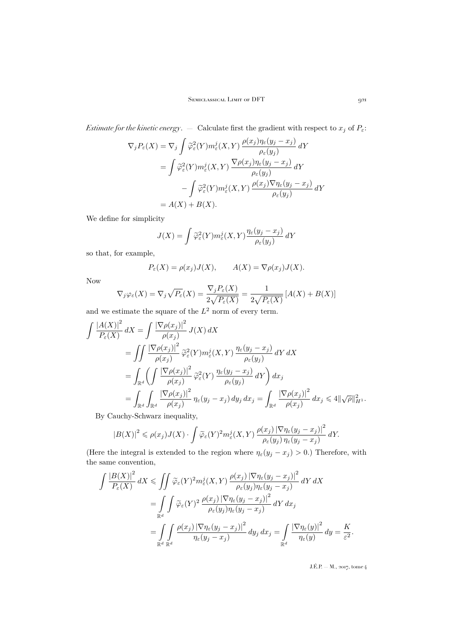*Estimate for the kinetic energy.* — Calculate first the gradient with respect to  $x_j$  of  $P_{\varepsilon}$ :

$$
\nabla_j P_{\varepsilon}(X) = \nabla_j \int \widetilde{\varphi}_{\varepsilon}^2(Y) m_{\varepsilon}^j(X, Y) \frac{\rho(x_j) \eta_{\varepsilon}(y_j - x_j)}{\rho_{\varepsilon}(y_j)} dY
$$
  
\n
$$
= \int \widetilde{\varphi}_{\varepsilon}^2(Y) m_{\varepsilon}^j(X, Y) \frac{\nabla \rho(x_j) \eta_{\varepsilon}(y_j - x_j)}{\rho_{\varepsilon}(y_j)} dY
$$
  
\n
$$
- \int \widetilde{\varphi}_{\varepsilon}^2(Y) m_{\varepsilon}^j(X, Y) \frac{\rho(x_j) \nabla \eta_{\varepsilon}(y_j - x_j)}{\rho_{\varepsilon}(y_j)} dY
$$
  
\n
$$
= A(X) + B(X).
$$

We define for simplicity

$$
J(X) = \int \widetilde{\varphi}_{\varepsilon}^{2}(Y) m_{\varepsilon}^{j}(X, Y) \frac{\eta_{\varepsilon}(y_{j} - x_{j})}{\rho_{\varepsilon}(y_{j})} dY
$$

so that, for example,

$$
P_{\varepsilon}(X) = \rho(x_j)J(X), \qquad A(X) = \nabla \rho(x_j)J(X).
$$

Now

$$
\nabla_j \varphi_{\varepsilon}(X) = \nabla_j \sqrt{P_{\varepsilon}}(X) = \frac{\nabla_j P_{\varepsilon}(X)}{2\sqrt{P_{\varepsilon}(X)}} = \frac{1}{2\sqrt{P_{\varepsilon}(X)}} \left[ A(X) + B(X) \right]
$$

and we estimate the square of the  $L^2$  norm of every term.

$$
\int \frac{|A(X)|^2}{P_{\varepsilon}(X)} dX = \int \frac{|\nabla \rho(x_j)|^2}{\rho(x_j)} J(X) dX
$$
  
\n
$$
= \int \int \frac{|\nabla \rho(x_j)|^2}{\rho(x_j)} \widetilde{\varphi}_{\varepsilon}^2(Y) m_{\varepsilon}^j(X, Y) \frac{\eta_{\varepsilon}(y_j - x_j)}{\rho_{\varepsilon}(y_j)} dY dX
$$
  
\n
$$
= \int_{\mathbb{R}^d} \left( \int \frac{|\nabla \rho(x_j)|^2}{\rho(x_j)} \widetilde{\varphi}_{\varepsilon}^2(Y) \frac{\eta_{\varepsilon}(y_j - x_j)}{\rho_{\varepsilon}(y_j)} dY \right) dx_j
$$
  
\n
$$
= \int_{\mathbb{R}^d} \int_{\mathbb{R}^d} \frac{|\nabla \rho(x_j)|^2}{\rho(x_j)} \eta_{\varepsilon}(y_j - x_j) dy_j dx_j = \int_{\mathbb{R}^d} \frac{|\nabla \rho(x_j)|^2}{\rho(x_j)} dx_j \le 4 \|\sqrt{\rho}\|_{H^1}^2.
$$

By Cauchy-Schwarz inequality,

$$
|B(X)|^2 \leq \rho(x_j)J(X) \cdot \int \widetilde{\varphi}_{\varepsilon}(Y)^2 m_{\varepsilon}^j(X,Y) \, \frac{\rho(x_j) \, |\nabla \eta_{\varepsilon}(y_j - x_j)|^2}{\rho_{\varepsilon}(y_j) \, \eta_{\varepsilon}(y_j - x_j)} \, dY.
$$

(Here the integral is extended to the region where  $\eta_{\varepsilon}(y_j - x_j) > 0$ .) Therefore, with the same convention,

$$
\int \frac{|B(X)|^2}{P_{\varepsilon}(X)} dX \le \iint \widetilde{\varphi}_{\varepsilon}(Y)^2 m_{\varepsilon}^j(X, Y) \frac{\rho(x_j) |\nabla \eta_{\varepsilon}(y_j - x_j)|^2}{\rho_{\varepsilon}(y_j) \eta_{\varepsilon}(y_j - x_j)} dY dX
$$
  
\n
$$
= \int_{\mathbb{R}^d} \int \widetilde{\varphi}_{\varepsilon}(Y)^2 \frac{\rho(x_j) |\nabla \eta_{\varepsilon}(y_j - x_j)|^2}{\rho_{\varepsilon}(y_j) \eta_{\varepsilon}(y_j - x_j)} dY d x_j
$$
  
\n
$$
= \int_{\mathbb{R}^d} \int_{\mathbb{R}^d} \frac{\rho(x_j) |\nabla \eta_{\varepsilon}(y_j - x_j)|^2}{\eta_{\varepsilon}(y_j - x_j)} dy_j d x_j = \int_{\mathbb{R}^d} \frac{|\nabla \eta_{\varepsilon}(y)|^2}{\eta_{\varepsilon}(y)} dy = \frac{K}{\varepsilon^2}.
$$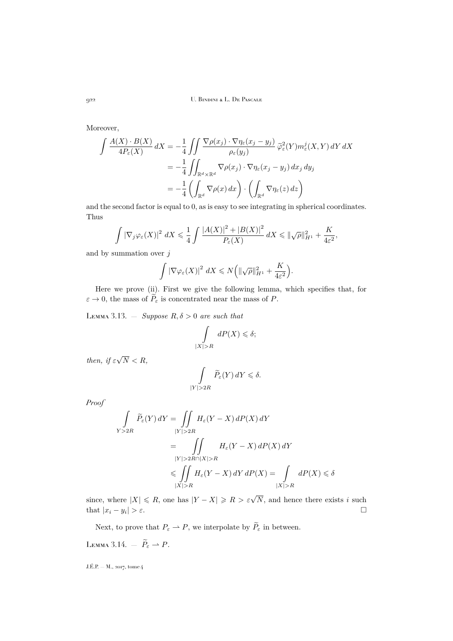Moreover,

$$
\int \frac{A(X) \cdot B(X)}{4P_{\varepsilon}(X)} dX = -\frac{1}{4} \iint \frac{\nabla \rho(x_j) \cdot \nabla \eta_{\varepsilon}(x_j - y_j)}{\rho_{\varepsilon}(y_j)} \widetilde{\varphi}_{\varepsilon}^2(Y) m_{\varepsilon}^j(X, Y) dY dX
$$
  

$$
= -\frac{1}{4} \iint_{\mathbb{R}^d \times \mathbb{R}^d} \nabla \rho(x_j) \cdot \nabla \eta_{\varepsilon}(x_j - y_j) dx_j dy_j
$$
  

$$
= -\frac{1}{4} \left( \int_{\mathbb{R}^d} \nabla \rho(x) dx \right) \cdot \left( \int_{\mathbb{R}^d} \nabla \eta_{\varepsilon}(z) dz \right)
$$

and the second factor is equal to 0, as is easy to see integrating in spherical coordinates. Thus

$$
\int \left|\nabla_j \varphi_{\varepsilon}(X)\right|^2 dX \leq \frac{1}{4} \int \frac{\left|A(X)\right|^2 + \left|B(X)\right|^2}{P_{\varepsilon}(X)} dX \leq \|\sqrt{\rho}\|_{H^1}^2 + \frac{K}{4\varepsilon^2},
$$

and by summation over  $j$ 

$$
\int |\nabla \varphi_{\varepsilon}(X)|^2 dX \leq N \bigg( \|\sqrt{\rho}\|_{H^1}^2 + \frac{K}{4\varepsilon^2} \bigg).
$$

Here we prove (ii). First we give the following lemma, which specifies that, for  $\varepsilon \to 0$ , the mass of  $\widetilde{P}_{\varepsilon}$  is concentrated near the mass of P.

<span id="page-14-0"></span>LEMMA 3.13.  $-$  *Suppose*  $R, \delta > 0$  *are such that* 

$$
\int\limits_{|X|>R} dP(X) \leq \delta;
$$

*then, if*  $\varepsilon$ √ N < R*,*

$$
\int\limits_{|Y|>2R}\widetilde{P}_\varepsilon(Y)\,dY\leqslant \delta.
$$

*Proof*

$$
\int_{Y>2R} \widetilde{P}_{\varepsilon}(Y) dY = \iint_{|Y|>2R} H_{\varepsilon}(Y-X) dP(X) dY
$$
\n
$$
= \iint_{|Y|>2R \cap |X|>R} H_{\varepsilon}(Y-X) dP(X) dY
$$
\n
$$
\leqslant \iint_{|X|>R} H_{\varepsilon}(Y-X) dY dP(X) = \int_{|X|>R} dP(X) \leqslant \delta
$$

since, where  $|X| \le R$ , one has  $|Y - X| \ge R > \varepsilon \sqrt{N}$ , and hence there exists i such that  $|x_i - y_i| > \varepsilon$ .  $| > \varepsilon$ .

Next, to prove that  $P_{\varepsilon} \rightharpoonup P$ , we interpolate by  $\widetilde{P}_{\varepsilon}$  in between.

<span id="page-14-1"></span>Lemma 3.14.  $-\tilde{P}_{\varepsilon} \rightharpoonup P$ .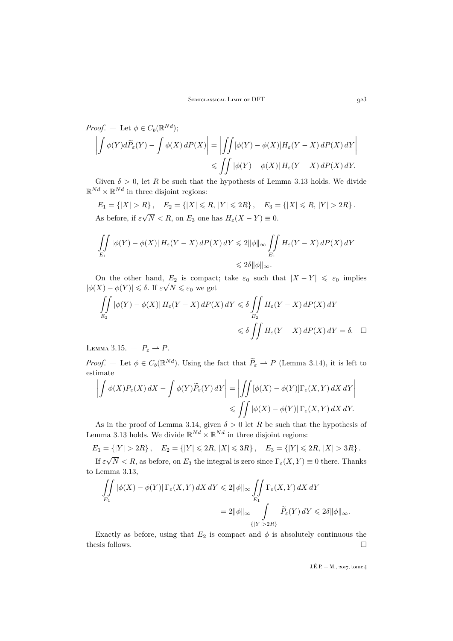*Proof.* – Let 
$$
\phi \in C_b(\mathbb{R}^{Nd})
$$
;  
\n
$$
\left| \int \phi(Y) d\tilde{P}_{\varepsilon}(Y) - \int \phi(X) dP(X) \right| = \left| \int \int [\phi(Y) - \phi(X)] H_{\varepsilon}(Y - X) dP(X) dY \right|
$$
\n
$$
\leq \int \int |\phi(Y) - \phi(X)| H_{\varepsilon}(Y - X) dP(X) dY.
$$

Given  $\delta > 0$ , let R be such that the hypothesis of Lemma [3.13](#page-14-0) holds. We divide  $\mathbb{R}^{Nd} \times \mathbb{R}^{Nd}$  in three disjoint regions:

 $E_1 = \{|X| > R\}$ ,  $E_2 = \{|X| \le R, |Y| \le 2R\}$ ,  $E_3 = \{|X| \le R, |Y| > 2R\}$ . As before, if  $\varepsilon$ √  $N < R$ , on  $E_3$  one has  $H_\varepsilon(X - Y) \equiv 0$ .

$$
\iint\limits_{E_1} |\phi(Y) - \phi(X)| H_{\varepsilon}(Y - X) dP(X) dY \leq 2 \|\phi\|_{\infty} \iint\limits_{E_1} H_{\varepsilon}(Y - X) dP(X) dY
$$
  

$$
\leq 2\delta \|\phi\|_{\infty}.
$$

On the other hand,  $E_2$  is compact; take  $\varepsilon_0$  such that  $|X - Y| \leq \varepsilon_0$  implies  $|\phi(X) - \phi(Y)| \leq \delta$ . If  $\varepsilon \sqrt{N} \leq \varepsilon_0$  we get

$$
\iint_{E_2} |\phi(Y) - \phi(X)| H_{\varepsilon}(Y - X) dP(X) dY \le \delta \iint_{E_2} H_{\varepsilon}(Y - X) dP(X) dY
$$
  

$$
\le \delta \iint_{E_2} H_{\varepsilon}(Y - X) dP(X) dY = \delta. \quad \Box
$$

LEMMA 3.15.  $-P_{\varepsilon} \rightharpoonup P$ .

*Proof.* – Let  $\phi \in C_b(\mathbb{R}^{Nd})$ . Using the fact that  $\widetilde{P}_{\varepsilon} \to P$  (Lemma [3.14\)](#page-14-1), it is left to estimate

$$
\left| \int \phi(X) P_{\varepsilon}(X) \, dX - \int \phi(Y) \widetilde{P}_{\varepsilon}(Y) \, dY \right| = \left| \iint \left[ \phi(X) - \phi(Y) \right] \Gamma_{\varepsilon}(X, Y) \, dX \, dY \right|
$$
  

$$
\leq \iint \left| \phi(X) - \phi(Y) \right| \Gamma_{\varepsilon}(X, Y) \, dX \, dY.
$$

As in the proof of Lemma [3.14,](#page-14-1) given  $\delta > 0$  let R be such that the hypothesis of Lemma [3.13](#page-14-0) holds. We divide  $\mathbb{R}^{Nd} \times \mathbb{R}^{Nd}$  in three disjoint regions:

$$
E_1 = \{ |Y| > 2R \}, \quad E_2 = \{ |Y| \leq 2R, |X| \leq 3R \}, \quad E_3 = \{ |Y| \leq 2R, |X| > 3R \}.
$$

If ε  $N < R$ , as before, on  $E_3$  the integral is zero since  $\Gamma_{\varepsilon}(X, Y) \equiv 0$  there. Thanks to Lemma [3.13,](#page-14-0)

$$
\iint_{E_1} |\phi(X) - \phi(Y)| \Gamma_{\varepsilon}(X, Y) dX dY \le 2 \|\phi\|_{\infty} \iint_{E_1} \Gamma_{\varepsilon}(X, Y) dX dY
$$
  
= 2 \|\phi\|\_{\infty} \iint\_{\{|Y| > 2R\}} \widetilde{P}\_{\varepsilon}(Y) dY \le 2\delta \|\phi\|\_{\infty}.

Exactly as before, using that  $E_2$  is compact and  $\phi$  is absolutely continuous the thesis follows.  $\hfill \square$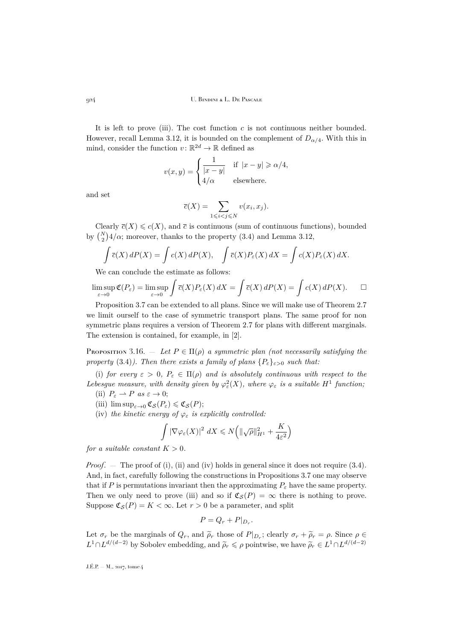It is left to prove (iii). The cost function  $c$  is not continuous neither bounded. However, recall Lemma [3.12,](#page-12-0) it is bounded on the complement of  $D_{\alpha/4}$ . With this in mind, consider the function  $v: \mathbb{R}^{2d} \to \mathbb{R}$  defined as

$$
v(x,y) = \begin{cases} \frac{1}{|x-y|} & \text{if } |x-y| \ge \alpha/4, \\ 4/\alpha & \text{elsewhere.} \end{cases}
$$

and set

$$
\overline{c}(X) = \sum_{1 \leq i < j \leq N} v(x_i, x_j).
$$

Clearly  $\bar{c}(X) \leqslant c(X)$ , and  $\bar{c}$  is continuous (sum of continuous functions), bounded by  $\binom{N}{2}4/\alpha$ ; moreover, thanks to the property [\(3.4\)](#page-9-1) and Lemma [3.12,](#page-12-0)

$$
\int \overline{c}(X) dP(X) = \int c(X) dP(X), \quad \int \overline{c}(X) P_{\varepsilon}(X) dX = \int c(X) P_{\varepsilon}(X) dX.
$$

We can conclude the estimate as follows:

$$
\limsup_{\varepsilon \to 0} \mathfrak{C}(P_{\varepsilon}) = \limsup_{\varepsilon \to 0} \int \overline{c}(X) P_{\varepsilon}(X) dX = \int \overline{c}(X) dP(X) = \int c(X) dP(X). \qquad \Box
$$

Proposition [3.7](#page-9-0) can be extended to all plans. Since we will make use of Theorem [2.7](#page-6-1) we limit ourself to the case of symmetric transport plans. The same proof for non symmetric plans requires a version of Theorem [2.7](#page-6-1) for plans with different marginals. The extension is contained, for example, in [\[2\]](#page-25-9).

Proposition 3.16. — Let  $P \in \Pi(\rho)$  a symmetric plan (not necessarily satisfying the *property* [\(3.4\)](#page-9-1)). Then there exists a family of plans  $\{P_{\varepsilon}\}_{{\varepsilon}>0}$  *such that:* 

(i) *for every*  $\varepsilon > 0$ ,  $P_{\varepsilon} \in \Pi(\rho)$  *and is absolutely continuous with respect to the* Lebesgue measure, with density given by  $\varphi_{\varepsilon}^2(X)$ , where  $\varphi_{\varepsilon}$  is a suitable  $H^1$  function;

- (ii)  $P_{\varepsilon} \rightharpoonup P$  *as*  $\varepsilon \rightarrow 0$ ;
- (iii)  $\limsup_{\varepsilon\to 0} \mathfrak{C}_{\mathcal{S}}(P_{\varepsilon}) \leq \mathfrak{C}_{\mathcal{S}}(P);$
- (iv) *the kinetic energy of*  $\varphi_{\varepsilon}$  *is explicitly controlled:*

$$
\int \left| \nabla \varphi_{\varepsilon}(X) \right|^2 \, dX \leqslant N \bigg( \|\sqrt{\rho}\|_{H^1}^2 + \frac{K}{4\varepsilon^2} \bigg)
$$

*for a suitable constant*  $K > 0$ *.* 

*Proof.* — The proof of (i), (ii) and (iv) holds in general since it does not require [\(3.4\)](#page-9-1). And, in fact, carefully following the constructions in Propositions 3.7 one may observe that if P is permutations invariant then the approximating  $P_{\varepsilon}$  have the same property. Then we only need to prove (iii) and so if  $\mathfrak{C}_{\mathcal{S}}(P) = \infty$  there is nothing to prove. Suppose  $\mathfrak{C}_{\mathcal{S}}(P) = K < \infty$ . Let  $r > 0$  be a parameter, and split

$$
P = Q_r + P|_{D_r}.
$$

Let  $\sigma_r$  be the marginals of  $Q_r$ , and  $\tilde{\rho}_r$  those of  $P|_{D_r}$ ; clearly  $\sigma_r + \tilde{\rho}_r = \rho$ . Since  $\rho \in L_1 \cap L_2$  ((d-2) has S is less one defining and  $\tilde{\rho}_r \leq \rho$  is interior, we have  $\tilde{\rho}_r \leq \rho L_1 \cap L_2$  ((d-2)  $L^1 \cap L^{d/(d-2)}$  by Sobolev embedding, and  $\tilde{\rho}_r \leq \rho$  pointwise, we have  $\tilde{\rho}_r \in L^1 \cap L^{d/(d-2)}$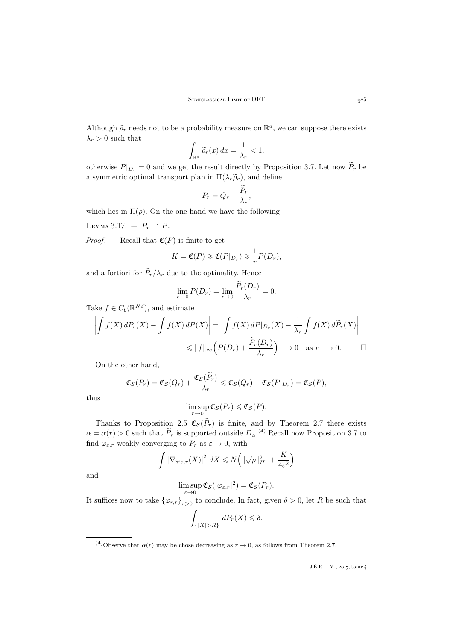Although  $\tilde{\rho}_r$  needs not to be a probability measure on  $\mathbb{R}^d$ , we can suppose there exists  $\lambda_r > 0$  such that

$$
\int_{\mathbb{R}^d} \widetilde{\rho}_r(x) \, dx = \frac{1}{\lambda_r} < 1,
$$

otherwise  $P|_{D_r} = 0$  and we get the result directly by Proposition [3.7.](#page-9-0) Let now  $\widetilde{P}_r$  be a symmetric optimal transport plan in  $\Pi(\lambda_r\tilde{\rho}_r)$ , and define

$$
P_r = Q_r + \frac{P_r}{\lambda_r},
$$

which lies in  $\Pi(\rho)$ . On the one hand we have the following

<span id="page-17-0"></span>LEMMA 3.17. –  $P_r \rightharpoonup P$ .

*Proof.*  $-$  Recall that  $C(P)$  is finite to get

$$
K = \mathfrak{C}(P) \geq \mathfrak{C}(P|_{D_r}) \geq \frac{1}{r}P(D_r),
$$

and a fortiori for  $\widetilde{P}_r/\lambda_r$  due to the optimality. Hence

$$
\lim_{r \to 0} P(D_r) = \lim_{r \to 0} \frac{\tilde{P}_r(D_r)}{\lambda_r} = 0.
$$

Take  $f \in C_b(\mathbb{R}^{Nd})$ , and estimate

$$
\left| \int f(X) dP_r(X) - \int f(X) dP(X) \right| = \left| \int f(X) dP|_{D_r}(X) - \frac{1}{\lambda_r} \int f(X) d\tilde{P}_r(X) \right|
$$
  

$$
\leq \|f\|_{\infty} \left( P(D_r) + \frac{\tilde{P}_r(D_r)}{\lambda_r} \right) \longrightarrow 0 \quad \text{as } r \longrightarrow 0.
$$

On the other hand,

$$
\mathfrak{C}_{\mathcal{S}}(P_r) = \mathfrak{C}_{\mathcal{S}}(Q_r) + \frac{\mathfrak{C}_{\mathcal{S}}(P_r)}{\lambda_r} \leq \mathfrak{C}_{\mathcal{S}}(Q_r) + \mathfrak{C}_{\mathcal{S}}(P|_{D_r}) = \mathfrak{C}_{\mathcal{S}}(P),
$$

thus

$$
\limsup_{r\to 0} \mathfrak{C}_{\mathcal{S}}(P_r) \leq \mathfrak{C}_{\mathcal{S}}(P).
$$

Thanks to Proposition [2.5](#page-6-2)  $\mathfrak{C}_{\mathcal{S}}(P_r)$  is finite, and by Theorem [2.7](#page-6-1) there exists  $\alpha = \alpha(r) > 0$  such that  $\tilde{P}_r$  is supported outside  $D_{\alpha}$ .<sup>(4)</sup> Recall now Proposition [3.7](#page-9-0) to find  $\varphi_{\varepsilon,r}$  weakly converging to  $P_r$  as  $\varepsilon \to 0$ , with

$$
\int \left|\nabla\varphi_{\varepsilon,r}(X)\right|^2 dX \leqslant N\left(\|\sqrt{\rho}\|_{H^1}^2 + \frac{K}{4\varepsilon^2}\right)
$$

and

$$
\limsup_{\varepsilon \to 0} \mathfrak{C}_{\mathcal{S}}(|\varphi_{\varepsilon,r}|^2) = \mathfrak{C}_{\mathcal{S}}(P_r).
$$

It suffices now to take  $\{\varphi_{r,r}\}_{r>0}$  to conclude. In fact, given  $\delta > 0$ , let R be such that

$$
\int_{\{|X|>R\}} dP_r(X) \leq \delta.
$$

<sup>(4)</sup>Observe that  $\alpha(r)$  may be chose decreasing as  $r \to 0$ , as follows from Theorem [2.7.](#page-6-1)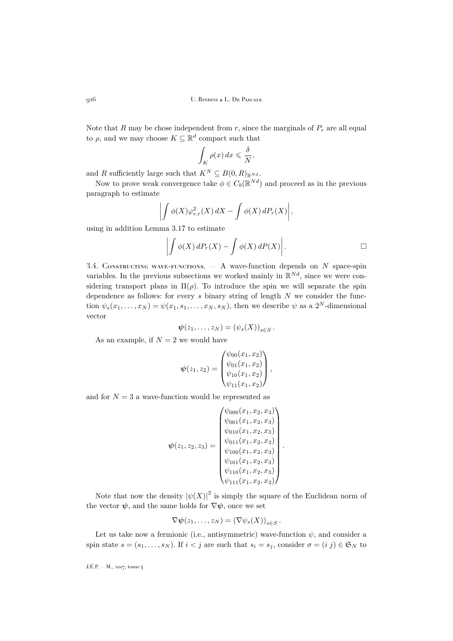Note that R may be chose independent from r, since the marginals of  $P_r$  are all equal to  $\rho$ , and we may choose  $K \subseteq \mathbb{R}^d$  compact such that

$$
\int_K \rho(x) \, dx \leqslant \frac{\delta}{N},
$$

and R sufficiently large such that  $K^N \subseteq B(0,R)_{\mathbb{R}^{Nd}}$ .

Now to prove weak convergence take  $\phi \in C_b(\mathbb{R}^{Nd})$  and proceed as in the previous paragraph to estimate

$$
\left| \int \phi(X) \varphi_{r,r}^2(X) \, dX - \int \phi(X) \, dP_r(X) \right|,
$$

using in addition Lemma [3.17](#page-17-0) to estimate

$$
\left| \int \phi(X) \, dP_r(X) - \int \phi(X) \, dP(X) \right|.
$$

.

3.4. CONSTRUCTING WAVE-FUNCTIONS.  $- A$  wave-function depends on N space-spin variables. In the previous subsections we worked mainly in  $\mathbb{R}^{Nd}$ , since we were considering transport plans in  $\Pi(\rho)$ . To introduce the spin we will separate the spin dependence as follows: for every  $s$  binary string of length  $N$  we consider the function  $\psi_s(x_1,\ldots,x_N) = \psi(x_1,s_1,\ldots,x_N,s_N)$ , then we describe  $\psi$  as a  $2^N$ -dimensional vector

$$
\boldsymbol{\psi}(z_1,\ldots,z_N)=(\psi_s(X))_{s\in S}.
$$

As an example, if  $N = 2$  we would have

$$
\psi(z_1, z_2) = \begin{pmatrix} \psi_{00}(x_1, x_2) \\ \psi_{01}(x_1, x_2) \\ \psi_{10}(x_1, x_2) \\ \psi_{11}(x_1, x_2) \end{pmatrix},
$$

and for  $N = 3$  a wave-function would be represented as

$$
\psi(z_1, z_2, z_3) = \begin{pmatrix}\n\psi_{000}(x_1, x_2, x_3) \\
\psi_{001}(x_1, x_2, x_3) \\
\psi_{010}(x_1, x_2, x_3) \\
\psi_{011}(x_1, x_2, x_3) \\
\psi_{100}(x_1, x_2, x_3) \\
\psi_{101}(x_1, x_2, x_3) \\
\psi_{110}(x_1, x_2, x_3) \\
\psi_{111}(x_1, x_2, x_3)\n\end{pmatrix}
$$

Note that now the density  $|\psi(X)|^2$  is simply the square of the Euclidean norm of the vector  $\psi$ , and the same holds for  $\nabla \psi$ , once we set

$$
\nabla \psi(z_1,\ldots,z_N)=(\nabla \psi_s(X))_{s\in S}.
$$

Let us take now a fermionic (i.e., antisymmetric) wave-function  $\psi$ , and consider a spin state  $s = (s_1, \ldots, s_N)$ . If  $i < j$  are such that  $s_i = s_j$ , consider  $\sigma = (i, j) \in \mathfrak{S}_N$  to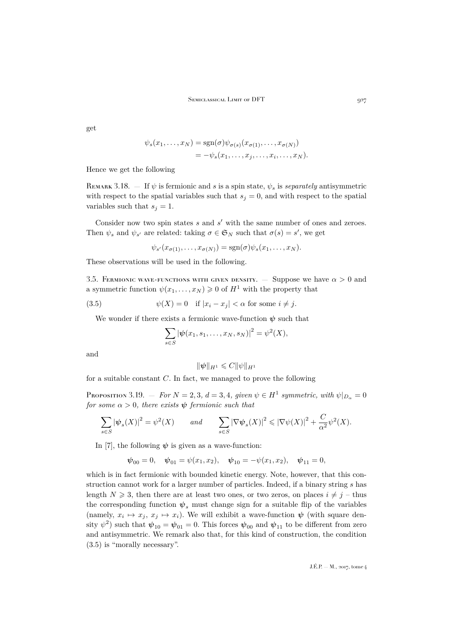get

$$
\psi_s(x_1,\ldots,x_N) = \text{sgn}(\sigma)\psi_{\sigma(s)}(x_{\sigma(1)},\ldots,x_{\sigma(N)})
$$
  
=  $-\psi_s(x_1,\ldots,x_j,\ldots,x_i,\ldots,x_N).$ 

Hence we get the following

REMARK 3.18. — If  $\psi$  is fermionic and s is a spin state,  $\psi_s$  is *separately* antisymmetric with respect to the spatial variables such that  $s_j = 0$ , and with respect to the spatial variables such that  $s_j = 1$ .

Consider now two spin states  $s$  and  $s'$  with the same number of ones and zeroes. Then  $\psi_s$  and  $\psi_{s'}$  are related: taking  $\sigma \in \mathfrak{S}_N$  such that  $\sigma(s) = s'$ , we get

$$
\psi_{s'}(x_{\sigma(1)},\ldots,x_{\sigma(N)}) = \text{sgn}(\sigma)\psi_s(x_1,\ldots,x_N).
$$

These observations will be used in the following.

3.5. FERMIONIC WAVE-FUNCTIONS WITH GIVEN DENSITY. — Suppose we have  $\alpha > 0$  and a symmetric function  $\psi(x_1, \ldots, x_N) \geq 0$  of  $H^1$  with the property that

(3.5) 
$$
\psi(X) = 0 \quad \text{if } |x_i - x_j| < \alpha \text{ for some } i \neq j.
$$

We wonder if there exists a fermionic wave-function  $\psi$  such that

<span id="page-19-0"></span>
$$
\sum_{s \in S} |\psi(x_1, s_1, \dots, x_N, s_N)|^2 = \psi^2(X),
$$

and

$$
\|\psi\|_{H^1}\leqslant C\|\psi\|_{H^1}
$$

for a suitable constant  $C$ . In fact, we managed to prove the following

<span id="page-19-1"></span>Proposition 3.19.  $-$  *For*  $N = 2,3$ ,  $d = 3,4$ , given  $\psi \in H^1$  symmetric, with  $\psi|_{D_{\alpha}} = 0$ *for some*  $\alpha > 0$ *, there exists*  $\psi$  *fermionic such that* 

$$
\sum_{s \in S} |\psi_s(X)|^2 = \psi^2(X) \qquad \text{and} \qquad \sum_{s \in S} |\nabla \psi_s(X)|^2 \leq |\nabla \psi(X)|^2 + \frac{C}{\alpha^2} \psi^2(X).
$$

In [\[7\]](#page-25-2), the following  $\psi$  is given as a wave-function:

$$
\psi_{00} = 0
$$
,  $\psi_{01} = \psi(x_1, x_2)$ ,  $\psi_{10} = -\psi(x_1, x_2)$ ,  $\psi_{11} = 0$ ,

which is in fact fermionic with bounded kinetic energy. Note, however, that this construction cannot work for a larger number of particles. Indeed, if a binary string s has length  $N \geq 3$ , then there are at least two ones, or two zeros, on places  $i \neq j$  – thus the corresponding function  $\psi_s$  must change sign for a suitable flip of the variables (namely,  $x_i \mapsto x_j, x_j \mapsto x_i$ ). We will exhibit a wave-function  $\psi$  (with square density  $\psi^2$ ) such that  $\psi_{10} = \psi_{01} = 0$ . This forces  $\psi_{00}$  and  $\psi_{11}$  to be different from zero and antisymmetric. We remark also that, for this kind of construction, the condition [\(3.5\)](#page-19-0) is "morally necessary".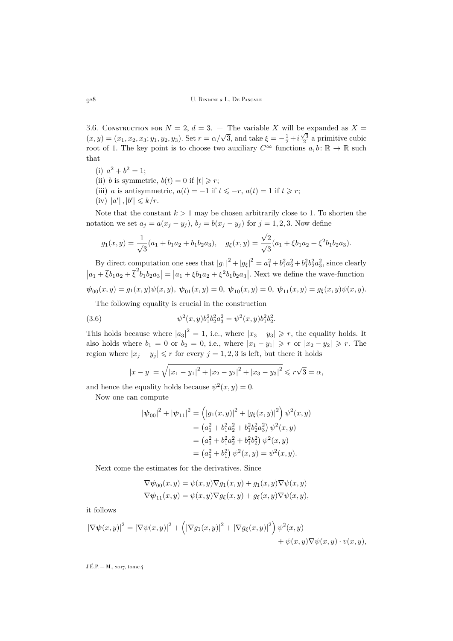3.6. CONSTRUCTION FOR  $N = 2$ ,  $d = 3$ . – The variable X will be expanded as  $X =$ 5.0. CONSTRUCTION FOR  $N = 2$ ,  $a = 3$ .  $-$  The variable  $\lambda$  will be expanded as  $\lambda = (x, y) = (x_1, x_2, x_3; y_1, y_2, y_3)$ . Set  $r = \alpha/\sqrt{3}$ , and take  $\xi = -\frac{1}{2} + i\frac{\sqrt{3}}{2}$  a primitive cubic root of 1. The key point is to choose two auxiliary  $C^{\infty}$  functions  $a, b \colon \mathbb{R} \to \mathbb{R}$  such that

- (i)  $a^2 + b^2 = 1$ ;
- (ii) b is symmetric,  $b(t) = 0$  if  $|t| \geq r$ ;
- (iii) a is antisymmetric,  $a(t) = -1$  if  $t \leq -r$ ,  $a(t) = 1$  if  $t \geq r$ ;
- $(iv)$   $|a'|, |b'| \leq k/r$ .

Note that the constant  $k > 1$  may be chosen arbitrarily close to 1. To shorten the notation we set  $a_j = a(x_j - y_j)$ ,  $b_j = b(x_j - y_j)$  for  $j = 1, 2, 3$ . Now define

$$
g_1(x,y) = \frac{1}{\sqrt{3}}(a_1 + b_1 a_2 + b_1 b_2 a_3), \quad g_{\xi}(x,y) = \frac{\sqrt{2}}{\sqrt{3}}(a_1 + \xi b_1 a_2 + \xi^2 b_1 b_2 a_3).
$$

By direct computation one sees that  $|g_1|^2 + |g_\xi|^2 = a_1^2 + b_1^2 a_2^2 + b_1^2 b_2^2 a_3^2$ , since clearly  $|a_1 + \bar{\xi}b_1a_2 + \bar{\xi}^2b_1b_2a_3| = |a_1 + \xi b_1a_2 + \xi^2b_1b_2a_3|$ . Next we define the wave-function  $\psi_{00}(x, y) = g_1(x, y)\psi(x, y), \psi_{01}(x, y) = 0, \psi_{10}(x, y) = 0, \psi_{11}(x, y) = g_{\xi}(x, y)\psi(x, y).$ 

The following equality is crucial in the construction

(3.6) 
$$
\psi^2(x,y)b_1^2b_2^2a_3^2 = \psi^2(x,y)b_1^2b_2^2.
$$

This holds because where  $|a_3|^2 = 1$ , i.e., where  $|x_3 - y_3| \geq r$ , the equality holds. It also holds where  $b_1 = 0$  or  $b_2 = 0$ , i.e., where  $|x_1 - y_1| \geq r$  or  $|x_2 - y_2| \geq r$ . The region where  $|x_i - y_i| \leq r$  for every  $j = 1, 2, 3$  is left, but there it holds

<span id="page-20-0"></span>
$$
|x - y| = \sqrt{|x_1 - y_1|^2 + |x_2 - y_2|^2 + |x_3 - y_3|^2} \le r\sqrt{3} = \alpha,
$$

and hence the equality holds because  $\psi^2(x, y) = 0$ .

Now one can compute

$$
|\psi_{00}|^2 + |\psi_{11}|^2 = (|g_1(x, y)|^2 + |g_\xi(x, y)|^2) \psi^2(x, y)
$$
  
=  $(a_1^2 + b_1^2 a_2^2 + b_1^2 b_2^2 a_3^2) \psi^2(x, y)$   
=  $(a_1^2 + b_1^2 a_2^2 + b_1^2 b_2^2) \psi^2(x, y)$   
=  $(a_1^2 + b_1^2) \psi^2(x, y) = \psi^2(x, y).$ 

Next come the estimates for the derivatives. Since

$$
\nabla \psi_{00}(x, y) = \psi(x, y) \nabla g_1(x, y) + g_1(x, y) \nabla \psi(x, y)
$$
  

$$
\nabla \psi_{11}(x, y) = \psi(x, y) \nabla g_{\xi}(x, y) + g_{\xi}(x, y) \nabla \psi(x, y),
$$

it follows

$$
\left|\nabla\psi(x,y)\right|^2 = \left|\nabla\psi(x,y)\right|^2 + \left(\left|\nabla g_1(x,y)\right|^2 + \left|\nabla g_\xi(x,y)\right|^2\right)\psi^2(x,y) + \psi(x,y)\nabla\psi(x,y) \cdot v(x,y),
$$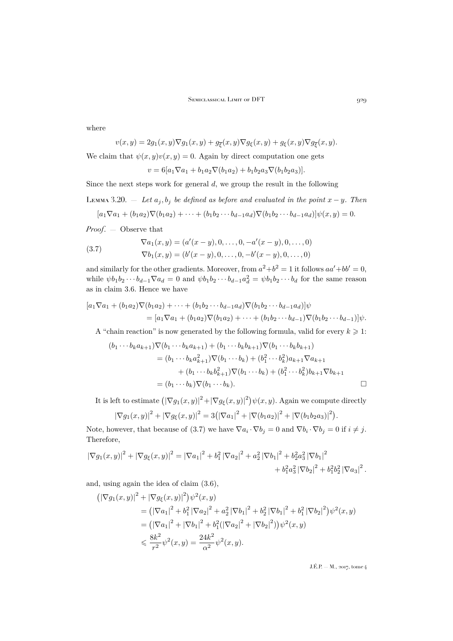where

$$
v(x,y) = 2g_1(x,y)\nabla g_1(x,y) + g_{\overline{\xi}}(x,y)\nabla g_{\xi}(x,y) + g_{\xi}(x,y)\nabla g_{\overline{\xi}}(x,y).
$$

We claim that  $\psi(x, y)v(x, y) = 0$ . Again by direct computation one gets

$$
v = 6[a_1 \nabla a_1 + b_1 a_2 \nabla (b_1 a_2) + b_1 b_2 a_3 \nabla (b_1 b_2 a_3)].
$$

Since the next steps work for general  $d$ , we group the result in the following

<span id="page-21-1"></span>LEMMA 3.20. — Let  $a_j, b_j$  be defined as before and evaluated in the point  $x - y$ . Then

$$
[a_1 \nabla a_1 + (b_1 a_2) \nabla (b_1 a_2) + \cdots + (b_1 b_2 \cdots b_{d-1} a_d) \nabla (b_1 b_2 \cdots b_{d-1} a_d)] \psi(x, y) = 0.
$$

*Proof*. — Observe that

<span id="page-21-0"></span>(3.7) 
$$
\nabla a_1(x, y) = (a'(x - y), 0, \dots, 0, -a'(x - y), 0, \dots, 0) \n\nabla b_1(x, y) = (b'(x - y), 0, \dots, 0, -b'(x - y), 0, \dots, 0)
$$

and similarly for the other gradients. Moreover, from  $a^2+b^2=1$  it follows  $aa'+bb'=0$ , while  $\psi b_1 b_2 \cdots b_{d-1} \nabla a_d = 0$  and  $\psi b_1 b_2 \cdots b_{d-1} a_d^2 = \psi b_1 b_2 \cdots b_d$  for the same reason as in claim [3.6.](#page-20-0) Hence we have

$$
[a_1 \nabla a_1 + (b_1 a_2) \nabla (b_1 a_2) + \cdots + (b_1 b_2 \cdots b_{d-1} a_d) \nabla (b_1 b_2 \cdots b_{d-1} a_d)] \psi
$$
  
= 
$$
[a_1 \nabla a_1 + (b_1 a_2) \nabla (b_1 a_2) + \cdots + (b_1 b_2 \cdots b_{d-1}) \nabla (b_1 b_2 \cdots b_{d-1})] \psi.
$$

A "chain reaction" is now generated by the following formula, valid for every  $k \geq 1$ :

$$
(b_1 \cdots b_k a_{k+1}) \nabla (b_1 \cdots b_k a_{k+1}) + (b_1 \cdots b_k b_{k+1}) \nabla (b_1 \cdots b_k b_{k+1})
$$
  
=  $(b_1 \cdots b_k a_{k+1}^2) \nabla (b_1 \cdots b_k) + (b_1^2 \cdots b_k^2) a_{k+1} \nabla a_{k+1}$   
+  $(b_1 \cdots b_k b_{k+1}^2) \nabla (b_1 \cdots b_k) + (b_1^2 \cdots b_k^2) b_{k+1} \nabla b_{k+1}$   
=  $(b_1 \cdots b_k) \nabla (b_1 \cdots b_k).$ 

It is left to estimate  $\left( |\nabla g_1(x,y)|^2 + |\nabla g_{\xi}(x,y)|^2 \right) \psi(x,y)$ . Again we compute directly

$$
|\nabla g_1(x,y)|^2 + |\nabla g_{\xi}(x,y)|^2 = 3(|\nabla a_1|^2 + |\nabla (b_1 a_2)|^2 + |\nabla (b_1 b_2 a_3)|^2).
$$

Note, however, that because of [\(3.7\)](#page-21-0) we have  $\nabla a_i \cdot \nabla b_j = 0$  and  $\nabla b_i \cdot \nabla b_j = 0$  if  $i \neq j$ . Therefore,

$$
|\nabla g_1(x,y)|^2 + |\nabla g_{\xi}(x,y)|^2 = |\nabla a_1|^2 + b_1^2 |\nabla a_2|^2 + a_2^2 |\nabla b_1|^2 + b_2^2 a_3^2 |\nabla b_1|^2 + b_1^2 a_3^2 |\nabla b_2|^2 + b_1^2 b_2^2 |\nabla a_3|^2.
$$

and, using again the idea of claim [\(3.6\)](#page-20-0),

$$
\begin{split} \left( \left| \nabla g_1(x, y) \right|^2 + \left| \nabla g_{\xi}(x, y) \right|^2 \right) \psi^2(x, y) \\ &= \left( \left| \nabla a_1 \right|^2 + b_1^2 \left| \nabla a_2 \right|^2 + a_2^2 \left| \nabla b_1 \right|^2 + b_2^2 \left| \nabla b_1 \right|^2 + b_1^2 \left| \nabla b_2 \right|^2 \right) \psi^2(x, y) \\ &= \left( \left| \nabla a_1 \right|^2 + \left| \nabla b_1 \right|^2 + b_1^2 (\left| \nabla a_2 \right|^2 + \left| \nabla b_2 \right|^2) \right) \psi^2(x, y) \\ &\leqslant \frac{8k^2}{r^2} \psi^2(x, y) = \frac{24k^2}{\alpha^2} \psi^2(x, y). \end{split}
$$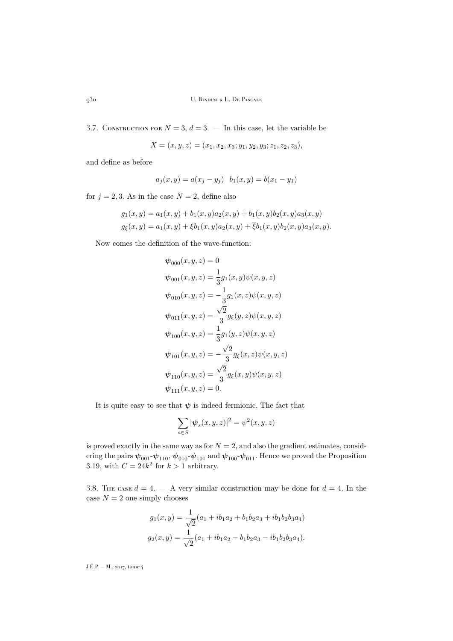3.7. CONSTRUCTION FOR  $N = 3$ ,  $d = 3$ .  $-$  In this case, let the variable be

$$
X = (x, y, z) = (x_1, x_2, x_3; y_1, y_2, y_3; z_1, z_2, z_3),
$$

and define as before

$$
a_j(x, y) = a(x_j - y_j) \quad b_1(x, y) = b(x_1 - y_1)
$$

for  $j = 2, 3$ . As in the case  $N = 2$ , define also

$$
g_1(x, y) = a_1(x, y) + b_1(x, y)a_2(x, y) + b_1(x, y)b_2(x, y)a_3(x, y)
$$
  

$$
g_{\xi}(x, y) = a_1(x, y) + \xi b_1(x, y)a_2(x, y) + \overline{\xi}b_1(x, y)b_2(x, y)a_3(x, y).
$$

Now comes the definition of the wave-function:

$$
\psi_{000}(x, y, z) = 0
$$
  
\n
$$
\psi_{001}(x, y, z) = \frac{1}{3}g_1(x, y)\psi(x, y, z)
$$
  
\n
$$
\psi_{010}(x, y, z) = -\frac{1}{3}g_1(x, z)\psi(x, y, z)
$$
  
\n
$$
\psi_{011}(x, y, z) = \frac{\sqrt{2}}{3}g_{\xi}(y, z)\psi(x, y, z)
$$
  
\n
$$
\psi_{100}(x, y, z) = \frac{1}{3}g_1(y, z)\psi(x, y, z)
$$
  
\n
$$
\psi_{101}(x, y, z) = -\frac{\sqrt{2}}{3}g_{\xi}(x, z)\psi(x, y, z)
$$
  
\n
$$
\psi_{110}(x, y, z) = \frac{\sqrt{2}}{3}g_{\xi}(x, y)\psi(x, y, z)
$$
  
\n
$$
\psi_{111}(x, y, z) = 0.
$$

It is quite easy to see that  $\psi$  is indeed fermionic. The fact that

$$
\sum_{s \in S} |\psi_s(x, y, z)|^2 = \psi^2(x, y, z)
$$

is proved exactly in the same way as for  $N = 2$ , and also the gradient estimates, considering the pairs  $\psi_{001}$ - $\psi_{110}$ ,  $\psi_{010}$ - $\psi_{101}$  and  $\psi_{100}$ - $\psi_{011}$ . Hence we proved the Proposition [3.19,](#page-19-1) with  $C = 24k^2$  for  $k > 1$  arbitrary.

3.8. The case  $d = 4$ .  $-$  A very similar construction may be done for  $d = 4$ . In the case  $N = 2$  one simply chooses

$$
g_1(x,y) = \frac{1}{\sqrt{2}}(a_1 + ib_1a_2 + b_1b_2a_3 + ib_1b_2b_3a_4)
$$
  

$$
g_2(x,y) = \frac{1}{\sqrt{2}}(a_1 + ib_1a_2 - b_1b_2a_3 - ib_1b_2b_3a_4).
$$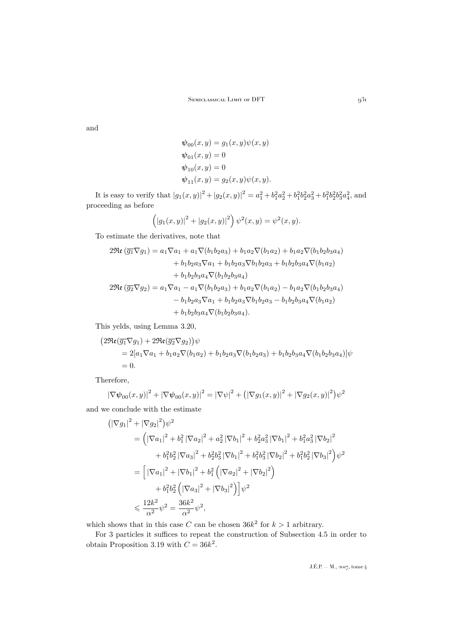and

$$
\psi_{00}(x, y) = g_1(x, y)\psi(x, y)
$$
  
\n
$$
\psi_{01}(x, y) = 0
$$
  
\n
$$
\psi_{10}(x, y) = 0
$$
  
\n
$$
\psi_{11}(x, y) = g_2(x, y)\psi(x, y).
$$

It is easy to verify that  $|g_1(x,y)|^2 + |g_2(x,y)|^2 = a_1^2 + b_1^2a_2^2 + b_1^2b_2^2a_3^2 + b_1^2b_2^2b_3^2a_4^2$ , and proceeding as before

$$
(|g_1(x,y)|^2 + |g_2(x,y)|^2) \psi^2(x,y) = \psi^2(x,y).
$$

To estimate the derivatives, note that

$$
2\Re\mathfrak{e}(\overline{g_1}\nabla g_1) = a_1\nabla a_1 + a_1\nabla(b_1b_2a_3) + b_1a_2\nabla(b_1a_2) + b_1a_2\nabla(b_1b_2b_3a_4) + b_1b_2a_3\nabla a_1 + b_1b_2a_3\nabla b_1b_2a_3 + b_1b_2b_3a_4\nabla(b_1a_2) + b_1b_2b_3a_4\nabla(b_1b_2b_3a_4)
$$
  

$$
2\Re\mathfrak{e}(\overline{g_2}\nabla g_2) = a_1\nabla a_1 - a_1\nabla(b_1b_2a_3) + b_1a_2\nabla(b_1a_2) - b_1a_2\nabla(b_1b_2b_3a_4) - b_1b_2a_3\nabla a_1 + b_1b_2a_3\nabla b_1b_2a_3 - b_1b_2b_3a_4\nabla(b_1a_2) + b_1b_2b_3a_4\nabla(b_1b_2b_3a_4).
$$

This yelds, using Lemma [3.20,](#page-21-1)

$$
(2\Re(\overline{g_1}\nabla g_1) + 2\Re(\overline{g_2}\nabla g_2))\psi
$$
  
= 2[a<sub>1</sub>\nabla a<sub>1</sub> + b<sub>1</sub>a<sub>2</sub>\nabla(b<sub>1</sub>a<sub>2</sub>) + b<sub>1</sub>b<sub>2</sub>a<sub>3</sub>\nabla(b<sub>1</sub>b<sub>2</sub>a<sub>3</sub>) + b<sub>1</sub>b<sub>2</sub>b<sub>3</sub>a<sub>4</sub>\nabla(b<sub>1</sub>b<sub>2</sub>b<sub>3</sub>a<sub>4</sub>)]\psi  
= 0.

Therefore,

$$
|\nabla \psi_{00}(x,y)|^2 + |\nabla \psi_{00}(x,y)|^2 = |\nabla \psi|^2 + (|\nabla g_1(x,y)|^2 + |\nabla g_2(x,y)|^2) \psi^2
$$

and we conclude with the estimate

$$
\begin{split}\n &\left( \left| \nabla g_1 \right|^2 + \left| \nabla g_2 \right|^2 \right) \psi^2 \\
 &= \left( \left| \nabla a_1 \right|^2 + b_1^2 \left| \nabla a_2 \right|^2 + a_2^2 \left| \nabla b_1 \right|^2 + b_2^2 a_3^2 \left| \nabla b_1 \right|^2 + b_1^2 a_3^2 \left| \nabla b_2 \right|^2 \\
 &\quad + b_1^2 b_2^2 \left| \nabla a_3 \right|^2 + b_2^2 b_3^2 \left| \nabla b_1 \right|^2 + b_1^2 b_3^2 \left| \nabla b_2 \right|^2 + b_1^2 b_2^2 \left| \nabla b_3 \right|^2 \right) \psi^2 \\
 &= \left[ \left| \nabla a_1 \right|^2 + \left| \nabla b_1 \right|^2 + b_1^2 \left( \left| \nabla a_2 \right|^2 + \left| \nabla b_2 \right|^2 \right) \\
 &\quad + b_1^2 b_2^2 \left( \left| \nabla a_3 \right|^2 + \left| \nabla b_3 \right|^2 \right) \right] \psi^2 \\
 &\leqslant \frac{12k^2}{\alpha^2} \psi^2 = \frac{36k^2}{\alpha^2} \psi^2,\n \end{split}
$$

which shows that in this case C can be chosen  $36k^2$  for  $k > 1$  arbitrary.

For 3 particles it suffices to repeat the construction of Subsection 4.5 in order to obtain Proposition [3.19](#page-19-1) with  $C = 36k^2$ .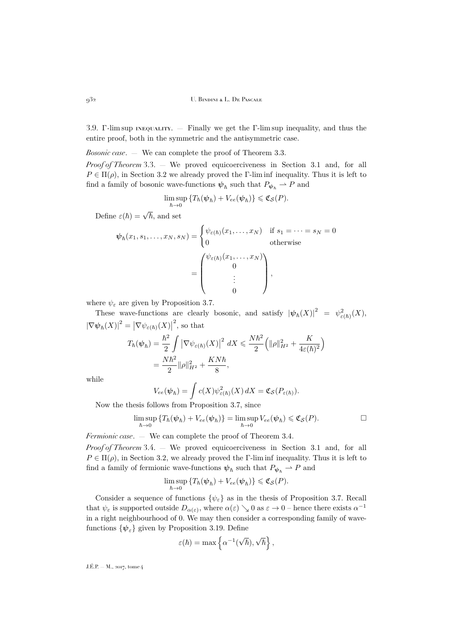3.9. Γ-lim sup inequality. — Finally we get the Γ-lim sup inequality, and thus the entire proof, both in the symmetric and the antisymmetric case.

*Bosonic case*. — We can complete the proof of Theorem [3.3.](#page-7-0) *Proof of Theorem* [3.3.](#page-7-0) — We proved equicoerciveness in Section [3.1](#page-8-1) and, for all  $P \in \Pi(\rho)$ , in Section [3.2](#page-8-2) we already proved the Γ-lim inf inequality. Thus it is left to find a family of bosonic wave-functions  $\psi_{\hbar}$  such that  $P_{\psi_{\hbar}} \to P$  and

$$
\limsup_{\hbar \to 0} \left\{ T_{\hbar}(\boldsymbol{\psi}_{\hbar}) + V_{ee}(\boldsymbol{\psi}_{\hbar}) \right\} \leqslant \mathfrak{C}_{\mathcal{S}}(P).
$$

Define  $\varepsilon(\hbar) = \sqrt{\hbar}$ , and set

$$
\psi_{\hbar}(x_1, s_1, \dots, x_N, s_N) = \begin{cases} \psi_{\varepsilon(\hbar)}(x_1, \dots, x_N) & \text{if } s_1 = \dots = s_N = 0 \\ 0 & \text{otherwise} \end{cases}
$$

$$
= \begin{pmatrix} \psi_{\varepsilon(\hbar)}(x_1, \dots, x_N) \\ 0 \\ \vdots \\ 0 \end{pmatrix},
$$

where  $\psi_{\varepsilon}$  are given by Proposition [3.7.](#page-9-0)

These wave-functions are clearly bosonic, and satisfy  $|\psi_{\hbar}(X)|^2 = \psi_{\varepsilon(\hbar)}^2(X)$ ,  $|\nabla \psi_{\hbar}(X)|^2 = |\nabla \psi_{\varepsilon(\hbar)}(X)|$ 2 , so that

$$
T_{\hbar}(\psi_{\hbar}) = \frac{\hbar^2}{2} \int \left| \nabla \psi_{\varepsilon(\hbar)}(X) \right|^2 dX \leq \frac{N \hbar^2}{2} \left( \|\rho\|_{H^2}^2 + \frac{K}{4\varepsilon(\hbar)^2} \right)
$$
  
= 
$$
\frac{N \hbar^2}{2} \|\rho\|_{H^2}^2 + \frac{KN\hbar}{8},
$$

while

$$
V_{ee}(\psi_{\hbar}) = \int c(X) \psi_{\varepsilon(\hbar)}^2(X) dX = \mathfrak{C}_{\mathcal{S}}(P_{\varepsilon(\hbar)}).
$$

Now the thesis follows from Proposition [3.7,](#page-9-0) since

$$
\limsup_{\hbar \to 0} \{ T_{\hbar}(\boldsymbol{\psi}_{\hbar}) + V_{ee}(\boldsymbol{\psi}_{\hbar}) \} = \limsup_{\hbar \to 0} V_{ee}(\boldsymbol{\psi}_{\hbar}) \leqslant \mathfrak{C}_{\mathcal{S}}(P). \square
$$

*Fermionic case*. — We can complete the proof of Theorem [3.4.](#page-8-0)

*Proof of Theorem* [3.4.](#page-8-0) — We proved equicoerciveness in Section [3.1](#page-8-1) and, for all  $P \in \Pi(\rho)$ , in Section [3.2,](#page-8-2) we already proved the Γ-lim inf inequality. Thus it is left to find a family of fermionic wave-functions  $\psi_{\hbar}$  such that  $P_{\psi_{\hbar}} \rightharpoonup P$  and

$$
\limsup_{\hbar \to 0} \left\{ T_{\hbar}(\boldsymbol{\psi}_{\hbar}) + V_{ee}(\boldsymbol{\psi}_{\hbar}) \right\} \leqslant \mathfrak{C}_{\mathcal{S}}(P).
$$

Consider a sequence of functions  $\{\psi_{\varepsilon}\}\$ as in the thesis of Proposition [3.7.](#page-9-0) Recall that  $\psi_{\varepsilon}$  is supported outside  $D_{\alpha(\varepsilon)}$ , where  $\alpha(\varepsilon) \searrow 0$  as  $\varepsilon \to 0$  – hence there exists  $\alpha^{-1}$ in a right neighbourhood of 0. We may then consider a corresponding family of wavefunctions  $\{\psi_{\varepsilon}\}\$  given by Proposition [3.19.](#page-19-1) Define

$$
\varepsilon(\hbar) = \max \left\{ \alpha^{-1}(\sqrt{\hbar}), \sqrt{\hbar} \right\},\
$$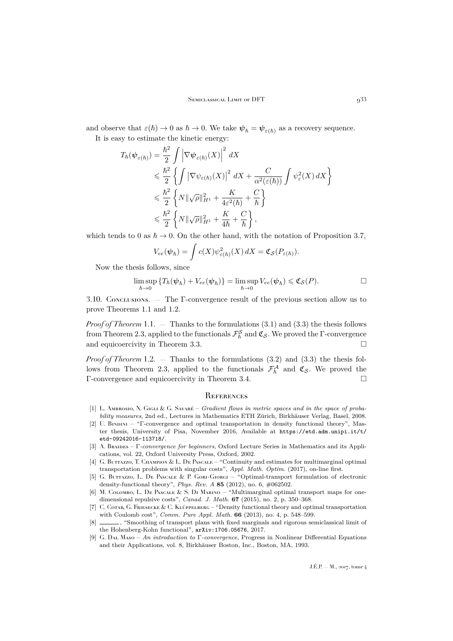and observe that  $\varepsilon(\hbar) \to 0$  as  $\hbar \to 0$ . We take  $\psi_{\hbar} = \psi_{\varepsilon(\hbar)}$  as a recovery sequence.

It is easy to estimate the kinetic energy:

$$
T_{\hbar}(\psi_{\varepsilon(\hbar)}) = \frac{\hbar^2}{2} \int \left| \nabla \psi_{\varepsilon(\hbar)}(X) \right|^2 dX
$$
  
\n
$$
\leq \frac{\hbar^2}{2} \left\{ \int \left| \nabla \psi_{\varepsilon(\hbar)}(X) \right|^2 dX + \frac{C}{\alpha^2(\varepsilon(\hbar))} \int \psi_{\varepsilon}^2(X) dX \right\}
$$
  
\n
$$
\leq \frac{\hbar^2}{2} \left\{ N \|\sqrt{\rho}\|_{H^1}^2 + \frac{K}{4\varepsilon^2(\hbar)} + \frac{C}{\hbar} \right\}
$$
  
\n
$$
\leq \frac{\hbar^2}{2} \left\{ N \|\sqrt{\rho}\|_{H^1}^2 + \frac{K}{4\hbar} + \frac{C}{\hbar} \right\},
$$

which tends to 0 as  $\hbar \to 0$ . On the other hand, with the notation of Proposition [3.7,](#page-9-0)

$$
V_{ee}(\boldsymbol{\psi}_\hbar) = \int c(X) \psi_{\varepsilon(\hbar)}^2(X) dX = \mathfrak{C}_{\mathcal{S}}(P_{\varepsilon(\hbar)}).
$$

Now the thesis follows, since

$$
\limsup_{\hbar \to 0} \left\{ T_{\hbar}(\boldsymbol{\psi}_{\hbar}) + V_{ee}(\boldsymbol{\psi}_{\hbar}) \right\} = \limsup_{\hbar \to 0} V_{ee}(\boldsymbol{\psi}_{\hbar}) \leqslant \mathfrak{C}_{\mathcal{S}}(P). \Box
$$

3.10. Conclusions. — The Γ-convergence result of the previous section allow us to prove Theorems [1.1](#page-4-2) and [1.2.](#page-4-3)

*Proof of Theorem* [1.1.](#page-4-2) — Thanks to the formulations [\(3.1\)](#page-7-1) and [\(3.3\)](#page-7-2) the thesis follows from Theorem [2.3,](#page-5-0) applied to the functionals  $\mathcal{F}_{\hbar}^{\mathcal{S}}$  and  $\mathfrak{C}_{\mathcal{S}}$ . We proved the  $\Gamma$ -convergence and equicoercivity in Theorem [3.3.](#page-7-0)

*Proof of Theorem* [1.2.](#page-4-3) — Thanks to the formulations [\(3.2\)](#page-7-3) and [\(3.3\)](#page-7-2) the thesis fol-lows from Theorem [2.3,](#page-5-0) applied to the functionals  $\mathcal{F}_{\hbar}^{\mathcal{A}}$  and  $\mathfrak{C}_{\mathcal{S}}$ . We proved the Γ-convergence and equicoercivity in Theorem [3.4.](#page-8-0)

#### <span id="page-25-0"></span>**REFERENCES**

- <span id="page-25-8"></span>[1] L. Ambrosio, N. Gigli & G. Savaré – *Gradient flows in metric spaces and in the space of probability measures*, 2nd ed., Lectures in Mathematics ETH Zürich, Birkhäuser Verlag, Basel, 2008.
- <span id="page-25-9"></span>[2] U. Bindini – "Γ-convergence and optimal transportation in density functional theory", Master thesis, University of Pisa, November 2016, Available at [https://etd.adm.unipi.it/t/](https://etd.adm.unipi.it/t/etd-09242016-113718/) [etd-09242016-113718/](https://etd.adm.unipi.it/t/etd-09242016-113718/).
- <span id="page-25-6"></span>[3] A. Braides – Γ*-convergence for beginners*, Oxford Lecture Series in Mathematics and its Applications, vol. 22, Oxford University Press, Oxford, 2002.
- <span id="page-25-3"></span>[4] G. BUTTAZZO, T. CHAMPION & L. DE PASCALE – "Continuity and estimates for multimarginal optimal transportation problems with singular costs", *Appl. Math. Optim.* (2017), on-line first.
- <span id="page-25-1"></span>[5] G. BUTTAZZO, L. DE PASCALE & P. GORI-GIORGI – "Optimal-transport formulation of electronic density-functional theory", *Phys. Rev. A* **85** (2012), no. 6, #062502.
- <span id="page-25-4"></span>[6] M. COLOMBO, L. DE PASCALE & S. DI MARINO – "Multimarginal optimal transport maps for onedimensional repulsive costs", *Canad. J. Math.* **67** (2015), no. 2, p. 350–368.
- <span id="page-25-2"></span>[7] C. Cotar, G. Friesecke & C. Klüppelberg – "Density functional theory and optimal transportation with Coulomb cost", *Comm. Pure Appl. Math.* **66** (2013), no. 4, p. 548–599.
- <span id="page-25-5"></span>[8] , "Smoothing of transport plans with fixed marginals and rigorous semiclassical limit of the Hohenberg-Kohn functional", [arXiv:1706.05676](http://arxiv.org/abs/1706.05676), 2017.
- <span id="page-25-7"></span>[9] G. Dal Maso – *An introduction to* Γ*-convergence*, Progress in Nonlinear Differential Equations and their Applications, vol. 8, Birkhäuser Boston, Inc., Boston, MA, 1993.